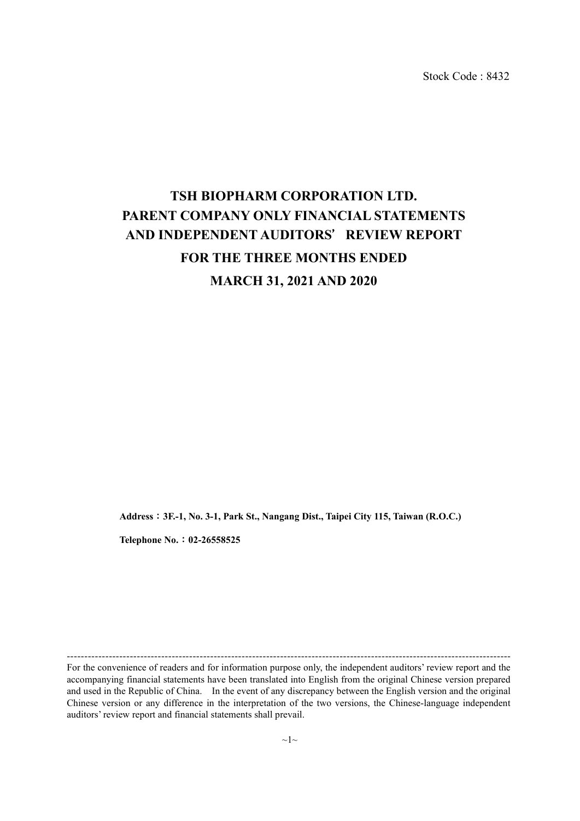Stock Code : 8432

# **TSH BIOPHARM CORPORATION LTD. PARENT COMPANY ONLY FINANCIAL STATEMENTS AND INDEPENDENT AUDITORS**'**REVIEW REPORT FOR THE THREE MONTHS ENDED MARCH 31, 2021 AND 2020**

**Address**:**3F.-1, No. 3-1, Park St., Nangang Dist., Taipei City 115, Taiwan (R.O.C.)**

**Telephone No.**:**02-26558525**

For the convenience of readers and for information purpose only, the independent auditors' review report and the accompanying financial statements have been translated into English from the original Chinese version prepared and used in the Republic of China. In the event of any discrepancy between the English version and the original Chinese version or any difference in the interpretation of the two versions, the Chinese-language independent auditors' review report and financial statements shall prevail.

-------------------------------------------------------------------------------------------------------------------------------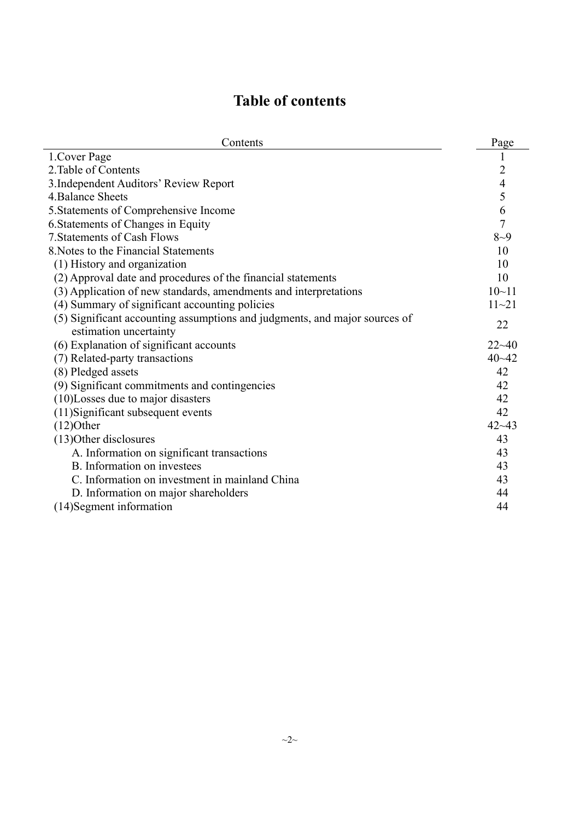# **Table of contents**

| Contents                                                                   | Page           |
|----------------------------------------------------------------------------|----------------|
| 1. Cover Page                                                              |                |
| 2. Table of Contents                                                       | 2              |
| 3. Independent Auditors' Review Report                                     | $\overline{4}$ |
| 4. Balance Sheets                                                          | 5              |
| 5. Statements of Comprehensive Income                                      | 6              |
| 6. Statements of Changes in Equity                                         | $\overline{7}$ |
| 7. Statements of Cash Flows                                                | $8 - 9$        |
| 8. Notes to the Financial Statements                                       | 10             |
| (1) History and organization                                               | 10             |
| (2) Approval date and procedures of the financial statements               | 10             |
| (3) Application of new standards, amendments and interpretations           | $10 - 11$      |
| (4) Summary of significant accounting policies                             | $11 - 21$      |
| (5) Significant accounting assumptions and judgments, and major sources of | 22             |
| estimation uncertainty                                                     |                |
| (6) Explanation of significant accounts                                    | $22 - 40$      |
| (7) Related-party transactions                                             | $40 - 42$      |
| (8) Pledged assets                                                         | 42             |
| (9) Significant commitments and contingencies                              | 42             |
| (10) Losses due to major disasters                                         | 42             |
| (11) Significant subsequent events                                         | 42             |
| $(12)$ Other                                                               | $42 - 43$      |
| (13) Other disclosures                                                     | 43             |
| A. Information on significant transactions                                 | 43             |
| B. Information on investees                                                | 43             |
| C. Information on investment in mainland China                             | 43             |
| D. Information on major shareholders                                       | 44             |
| (14) Segment information                                                   | 44             |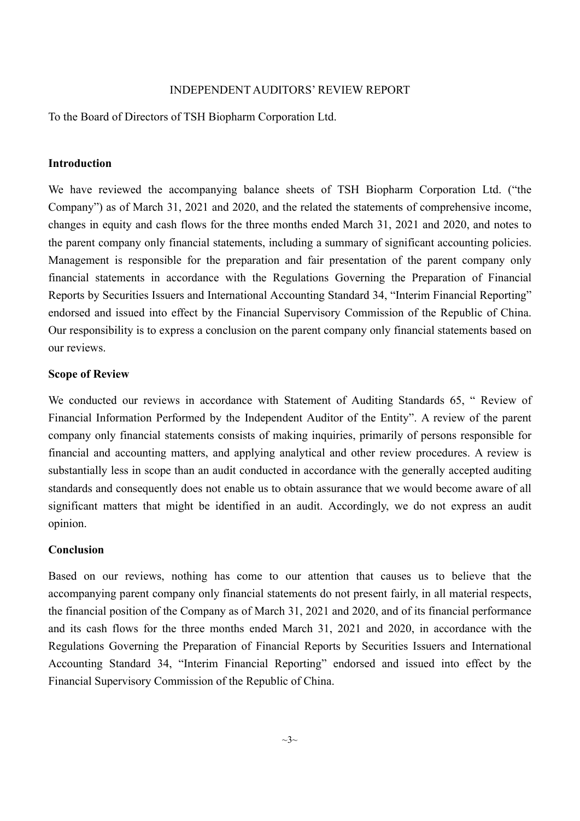#### INDEPENDENT AUDITORS' REVIEW REPORT

To the Board of Directors of TSH Biopharm Corporation Ltd.

#### **Introduction**

We have reviewed the accompanying balance sheets of TSH Biopharm Corporation Ltd. ("the Company") as of March 31, 2021 and 2020, and the related the statements of comprehensive income, changes in equity and cash flows for the three months ended March 31, 2021 and 2020, and notes to the parent company only financial statements, including a summary of significant accounting policies. Management is responsible for the preparation and fair presentation of the parent company only financial statements in accordance with the Regulations Governing the Preparation of Financial Reports by Securities Issuers and International Accounting Standard 34, "Interim Financial Reporting" endorsed and issued into effect by the Financial Supervisory Commission of the Republic of China. Our responsibility is to express a conclusion on the parent company only financial statements based on our reviews.

#### **Scope of Review**

We conducted our reviews in accordance with Statement of Auditing Standards 65, " Review of Financial Information Performed by the Independent Auditor of the Entity". A review of the parent company only financial statements consists of making inquiries, primarily of persons responsible for financial and accounting matters, and applying analytical and other review procedures. A review is substantially less in scope than an audit conducted in accordance with the generally accepted auditing standards and consequently does not enable us to obtain assurance that we would become aware of all significant matters that might be identified in an audit. Accordingly, we do not express an audit opinion.

#### **Conclusion**

Based on our reviews, nothing has come to our attention that causes us to believe that the accompanying parent company only financial statements do not present fairly, in all material respects, the financial position of the Company as of March 31, 2021 and 2020, and of its financial performance and its cash flows for the three months ended March 31, 2021 and 2020, in accordance with the Regulations Governing the Preparation of Financial Reports by Securities Issuers and International Accounting Standard 34, "Interim Financial Reporting" endorsed and issued into effect by the Financial Supervisory Commission of the Republic of China.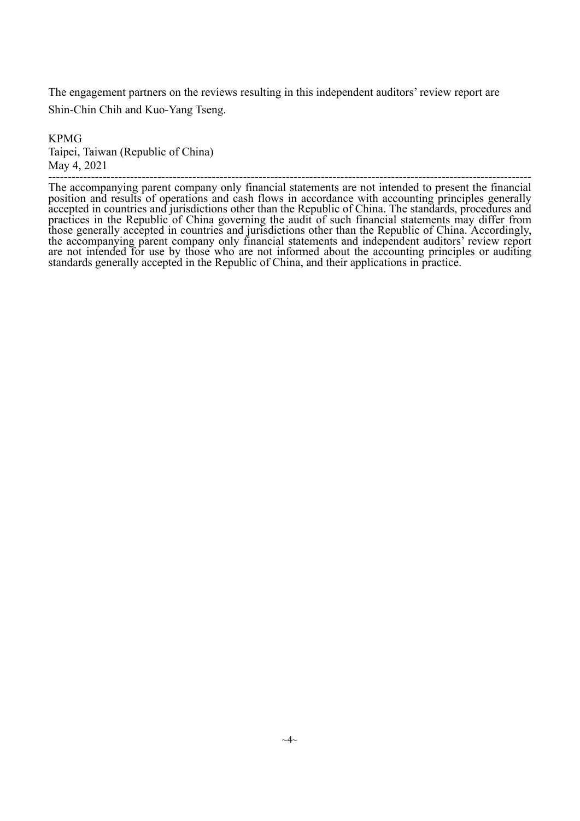The engagement partners on the reviews resulting in this independent auditors' review report are Shin-Chin Chih and Kuo-Yang Tseng.

KPMG Taipei, Taiwan (Republic of China)

May 4, 2021 ---------------------------------------------------------------------------------------------------------------------------- The accompanying parent company only financial statements are not intended to present the financial position and results of operations and cash flows in accordance with accounting principles generally accepted in countries and jurisdictions other than the Republic of China. The standards, procedures and practices in the Republic of China governing the audit of such financial statements may differ from those generally accepted in countries and jurisdictions other than the Republic of China. Accordingly, the accompanying parent company only financial statements and independent auditors' review report are not intended for use by those who are not informed about the accounting principles or auditing standards generally accepted in the Republic of China, and their applications in practice.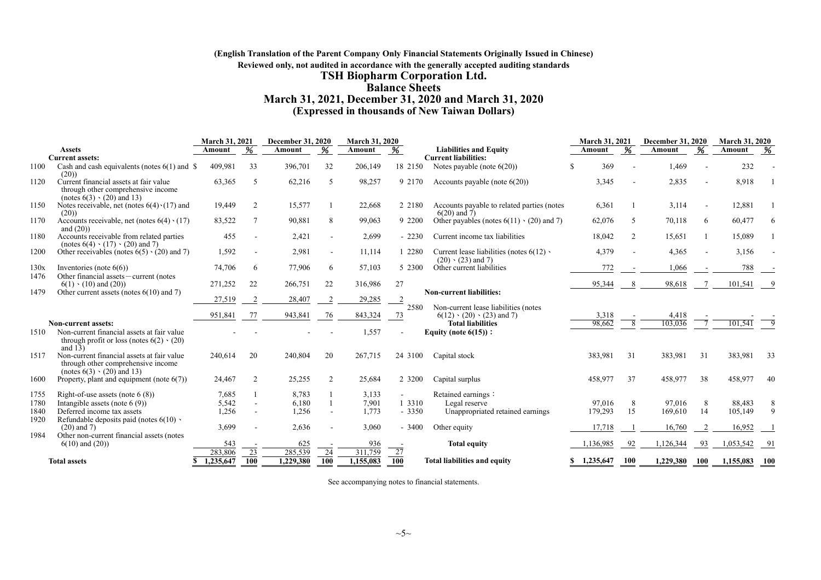#### **(English Translation of the Parent Company Only Financial Statements Originally Issued in Chinese) Reviewed only, not audited in accordance with the generally accepted auditing standards TSH Biopharm Corporation Ltd. Balance Sheets March 31, 2021, December 31, 2020 and March 31, 2020 (Expressed in thousands of New Taiwan Dollars)**

|              |                                                                                                                      | <b>March 31, 2021</b> |                  | <b>December 31, 2020</b> |                          | March 31, 2020 |                  |                                                                              | March 31, 2021 |                | <b>December 31, 2020</b> |     | March 31, 2020 |     |
|--------------|----------------------------------------------------------------------------------------------------------------------|-----------------------|------------------|--------------------------|--------------------------|----------------|------------------|------------------------------------------------------------------------------|----------------|----------------|--------------------------|-----|----------------|-----|
|              | <b>Assets</b>                                                                                                        | Amount                |                  | Amount                   | %                        | Amount         | %                | <b>Liabilities and Equity</b>                                                | Amount         |                | Amount                   |     | Amount         | %   |
|              | <b>Current assets:</b>                                                                                               |                       |                  |                          |                          |                |                  | <b>Current liabilities:</b>                                                  |                |                |                          |     |                |     |
| 1100         | Cash and cash equivalents (notes $6(1)$ and $\$<br>(20)                                                              | 409,981               | 33               | 396,701                  | 32                       | 206,149        | 18 2150          | Notes payable (note $6(20)$ )                                                | 369            |                | 1.469                    |     | 232            |     |
| 1120         | Current financial assets at fair value<br>through other comprehensive income<br>(notes $6(3) \cdot (20)$ and 13)     | 63,365                | 5                | 62,216                   | $\overline{5}$           | 98,257         | 9 2170           | Accounts payable (note $6(20)$ )                                             | 3,345          |                | 2,835                    |     | 8,918          |     |
| 1150         | Notes receivable, net (notes $6(4)$ (17) and<br>(20)                                                                 | 19.449                | 2                | 15,577                   |                          | 22,668         | 2 2 1 8 0        | Accounts payable to related parties (notes<br>$6(20)$ and $7)$               | 6.361          |                | 3,114                    |     | 12,881         |     |
| 1170         | Accounts receivable, net (notes $6(4) \cdot (17)$ )<br>and $(20)$                                                    | 83,522                | $\overline{7}$   | 90,881                   | 8                        | 99,063         | 9 2 2 0 0        | Other payables (notes $6(11) \cdot (20)$ and 7)                              | 62,076         | 5              | 70,118                   | 6   | 60,477         |     |
| 1180         | Accounts receivable from related parties<br>(notes $6(4) \cdot (17) \cdot (20)$ and 7)                               | 455                   |                  | 2,421                    | $\overline{a}$           | 2,699          | $-2230$          | Current income tax liabilities                                               | 18,042         | 2              | 15,651                   |     | 15,089         |     |
| 1200         | Other receivables (notes $6(5) \cdot (20)$ and 7)                                                                    | 1.592                 |                  | 2,981                    | $\sim$                   | 11,114         | 1 2280           | Current lease liabilities (notes $6(12)$ )<br>$(20) \cdot (23)$ and 7)       | 4.379          | $\blacksquare$ | 4,365                    |     | 3,156          |     |
| 130x<br>1476 | Inventories (note $6(6)$ )<br>Other financial assets – current (notes                                                | 74,706                | 6                | 77,906                   | 6                        | 57,103         | 5 2300           | Other current liabilities                                                    | 772            |                | 1,066                    |     | 788            |     |
| 1479         | $6(1) \cdot (10)$ and $(20)$ )<br>Other current assets (notes $6(10)$ and 7)                                         | 271,252               | 22               | 266,751                  | 22                       | 316,986        | 27               | <b>Non-current liabilities:</b>                                              | 95,344         |                | 98.618                   |     | 101,541        |     |
|              |                                                                                                                      | 27,519                |                  | 28,407                   |                          | 29,285         |                  |                                                                              |                |                |                          |     |                |     |
|              |                                                                                                                      | 951,841               | 77               | 943,841                  | 76                       | 843,324        | 2580<br>73       | Non-current lease liabilities (notes<br>$6(12) \cdot (20) \cdot (23)$ and 7) | 3,318          |                | 4,418                    |     |                |     |
|              | Non-current assets:                                                                                                  |                       |                  |                          |                          |                |                  | <b>Total liabilities</b>                                                     | 98,662         | 8              | 103,036                  |     | 101,541        |     |
| 1510         | Non-current financial assets at fair value<br>through profit or loss (notes $6(2) \cdot (20)$ )<br>and $1\bar{3}$ )  |                       |                  |                          |                          | 1.557          |                  | Equity (note $6(15)$ ):                                                      |                |                |                          |     |                |     |
| 1517         | Non-current financial assets at fair value<br>through other comprehensive income<br>(notes $6(3) \cdot (20)$ and 13) | 240,614               | 20               | 240,804                  | 20                       | 267,715        | 24 3100          | Capital stock                                                                | 383,981        | 31             | 383,981                  | 31  | 383,981        | 33  |
| 1600         | Property, plant and equipment (note $6(7)$ )                                                                         | 24,467                | 2                | 25,255                   | 2                        | 25,684         | 2 3 2 0 0        | Capital surplus                                                              | 458,977        | 37             | 458,977                  | 38  | 458,977        |     |
| 1755         | Right-of-use assets (note $6(8)$ )                                                                                   | 7,685                 |                  | 8,783                    |                          | 3,133          |                  | Retained earnings:                                                           |                |                |                          |     |                |     |
| 1780         | Intangible assets (note $6(9)$ )                                                                                     | 5,542                 |                  | 6,180                    |                          | 7,901          | 1 3310           | Legal reserve                                                                | 97,016         | 8              | 97,016                   | 8   | 88,483         | 8   |
| 1840         | Deferred income tax assets                                                                                           | 1,256                 |                  | 1,256                    | $\overline{\phantom{a}}$ | 1,773          | $-3350$          | Unappropriated retained earnings                                             | 179,293        | 15             | 169,610                  | 14  | 105,149        | 9   |
| 1920         | Refundable deposits paid (notes $6(10)$ )<br>$(20)$ and $7)$                                                         | 3.699                 |                  | 2,636                    |                          | 3,060          | $-3400$          | Other equity                                                                 | 17,718         |                | 16,760                   |     | 16,952         |     |
| 1984         | Other non-current financial assets (notes                                                                            |                       |                  |                          |                          |                |                  |                                                                              |                |                |                          |     |                |     |
|              | $6(10)$ and $(20)$ )                                                                                                 | 543                   |                  | 625                      |                          | 936            |                  | <b>Total equity</b>                                                          | 1,136,985      | 92             | ,126,344                 | 93  | 1,053,542      | 91  |
|              |                                                                                                                      | 283,806               | 23               | 285,539                  | $\overline{24}$          | 311,759        | 27               |                                                                              |                |                |                          |     |                |     |
|              | <b>Total assets</b>                                                                                                  | 1,235,647             | $\overline{100}$ | 1,229,380                | $\overline{100}$         | 1,155,083      | $\overline{100}$ | <b>Total liabilities and equity</b>                                          | 1,235,647      | 100            | 1,229,380                | 100 | 1,155,083      | 100 |

See accompanying notes to financial statements.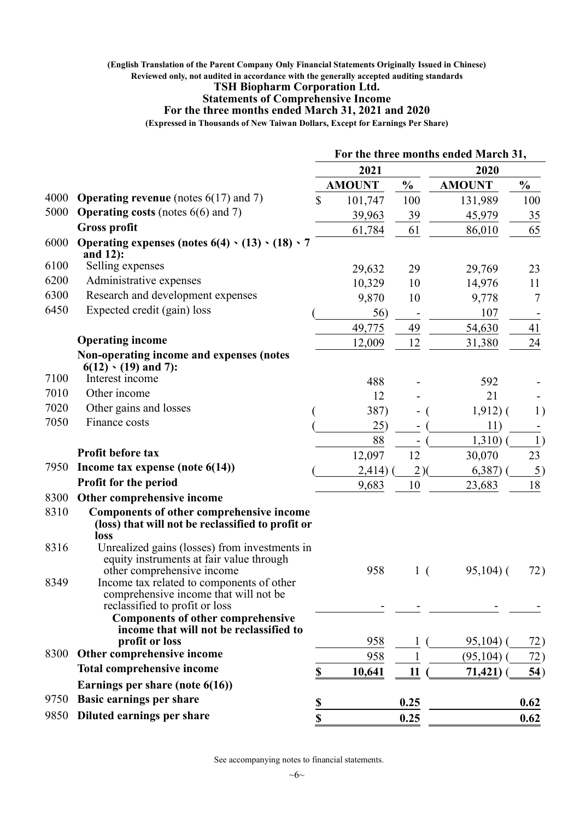#### **(English Translation of the Parent Company Only Financial Statements Originally Issued in Chinese) Reviewed only, not audited in accordance with the generally accepted auditing standards**

#### **TSH Biopharm Corporation Ltd.**

#### **Statements of Comprehensive Income**

#### **For the three months ended March 31, 2021 and 2020**

**(Expressed in Thousands of New Taiwan Dollars, Except for Earnings Per Share)**

|      |                                                                                                                         | For the three months ended March 31, |               |               |               |               |  |
|------|-------------------------------------------------------------------------------------------------------------------------|--------------------------------------|---------------|---------------|---------------|---------------|--|
|      |                                                                                                                         |                                      | 2021          |               | 2020          |               |  |
|      |                                                                                                                         |                                      | <b>AMOUNT</b> | $\frac{0}{0}$ | <b>AMOUNT</b> | $\%$          |  |
| 4000 | <b>Operating revenue</b> (notes $6(17)$ and 7)                                                                          | \$                                   | 101,747       | 100           | 131,989       | 100           |  |
| 5000 | <b>Operating costs</b> (notes $6(6)$ and 7)                                                                             |                                      | 39,963        | 39            | 45,979        | 35            |  |
|      | <b>Gross profit</b>                                                                                                     |                                      | 61,784        | 61            | 86,010        | 65            |  |
| 6000 | Operating expenses (notes $6(4) \cdot (13) \cdot (18) \cdot 7$<br>and $12$ :                                            |                                      |               |               |               |               |  |
| 6100 | Selling expenses                                                                                                        |                                      | 29,632        | 29            | 29,769        | 23            |  |
| 6200 | Administrative expenses                                                                                                 |                                      | 10,329        | 10            | 14,976        | 11            |  |
| 6300 | Research and development expenses                                                                                       |                                      | 9,870         | 10            | 9,778         | $\tau$        |  |
| 6450 | Expected credit (gain) loss                                                                                             |                                      | 56)           |               | 107           |               |  |
|      |                                                                                                                         |                                      | 49,775        | 49            | 54,630        | 41            |  |
|      | <b>Operating income</b>                                                                                                 |                                      | 12,009        | 12            | 31,380        | 24            |  |
|      | Non-operating income and expenses (notes<br>$6(12) \cdot (19)$ and 7):                                                  |                                      |               |               |               |               |  |
| 7100 | Interest income                                                                                                         |                                      | 488           |               | 592           |               |  |
| 7010 | Other income                                                                                                            |                                      | 12            |               | 21            |               |  |
| 7020 | Other gains and losses                                                                                                  |                                      | 387)          |               | $1,912)$ (    | 1)            |  |
| 7050 | Finance costs                                                                                                           |                                      | 25)           |               | 11)           |               |  |
|      |                                                                                                                         |                                      | 88            |               | 1,310)        | 1)            |  |
|      | Profit before tax                                                                                                       |                                      | 12,097        | 12            | 30,070        | 23            |  |
| 7950 | Income tax expense (note $6(14)$ )                                                                                      |                                      | 2,414)        | 2)            | 6,387)        | $\frac{5}{2}$ |  |
|      | Profit for the period                                                                                                   |                                      | 9,683         | 10            | 23,683        | 18            |  |
| 8300 | Other comprehensive income                                                                                              |                                      |               |               |               |               |  |
| 8310 | Components of other comprehensive income<br>(loss) that will not be reclassified to profit or<br>loss                   |                                      |               |               |               |               |  |
| 8316 | Unrealized gains (losses) from investments in<br>equity instruments at fair value through<br>other comprehensive income |                                      | 958           | 1(            | $95,104$ ) (  | 72)           |  |
| 8349 | Income tax related to components of other<br>comprehensive income that will not be<br>reclassified to profit or loss    |                                      |               |               |               |               |  |
|      | <b>Components of other comprehensive</b><br>income that will not be reclassified to<br>profit or loss                   |                                      | 958           |               |               |               |  |
| 8300 | Other comprehensive income                                                                                              |                                      |               |               | 95,104)       | 72)           |  |
|      | <b>Total comprehensive income</b>                                                                                       |                                      | 958           |               | (95, 104)     | (72)          |  |
|      | Earnings per share (note $6(16)$ )                                                                                      | \$                                   | 10,641        | 11            | 71,421)       | 54)           |  |
| 9750 | <b>Basic earnings per share</b>                                                                                         |                                      |               |               |               |               |  |
| 9850 | Diluted earnings per share                                                                                              | \$                                   |               | 0.25          |               | 0.62          |  |
|      |                                                                                                                         | \$                                   |               | 0.25          |               | 0.62          |  |

See accompanying notes to financial statements.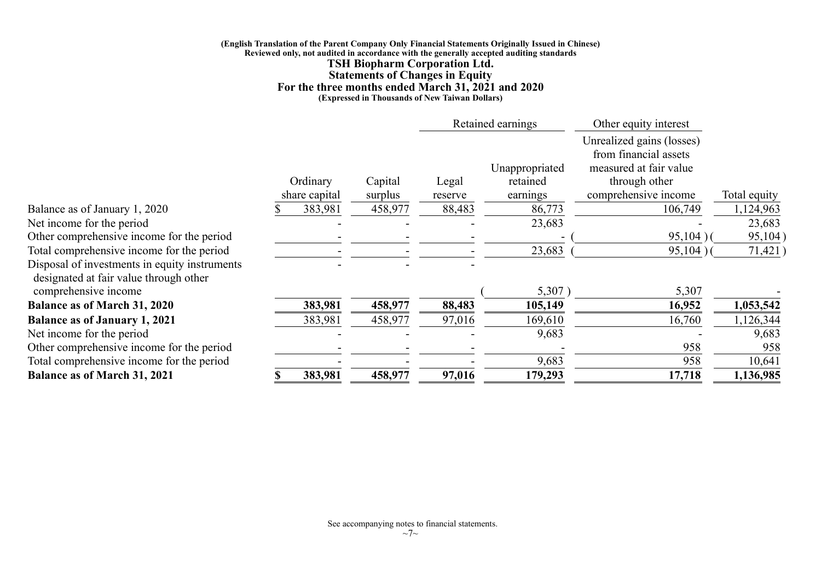#### **(English Translation of the Parent Company Only Financial Statements Originally Issued in Chinese) Reviewed only, not audited in accordance with the generally accepted auditing standards TSH Biopharm Corporation Ltd. Statements of Changes in Equity For the three months ended March 31, 2021 and 2020 (Expressed in Thousands of New Taiwan Dollars)**

|                                                                                         |               |         |         | Retained earnings | Other equity interest                                                        |              |
|-----------------------------------------------------------------------------------------|---------------|---------|---------|-------------------|------------------------------------------------------------------------------|--------------|
|                                                                                         |               |         |         | Unappropriated    | Unrealized gains (losses)<br>from financial assets<br>measured at fair value |              |
|                                                                                         | Ordinary      | Capital | Legal   | retained          | through other                                                                |              |
|                                                                                         | share capital | surplus | reserve | earnings          | comprehensive income                                                         | Total equity |
| Balance as of January 1, 2020                                                           | 383,981       | 458,977 | 88,483  | 86,773            | 106,749                                                                      | 1,124,963    |
| Net income for the period                                                               |               |         |         | 23,683            |                                                                              | 23,683       |
| Other comprehensive income for the period                                               |               |         |         |                   | 95,104)                                                                      | 95,104)      |
| Total comprehensive income for the period                                               |               |         |         | 23,683            | 95,104)                                                                      | 71,421)      |
| Disposal of investments in equity instruments<br>designated at fair value through other |               |         |         |                   |                                                                              |              |
| comprehensive income                                                                    |               |         |         | 5,307             | 5,307                                                                        |              |
| <b>Balance as of March 31, 2020</b>                                                     | 383,981       | 458,977 | 88,483  | 105,149           | 16,952                                                                       | 1,053,542    |
| <b>Balance as of January 1, 2021</b>                                                    | 383,981       | 458,977 | 97,016  | 169,610           | 16,760                                                                       | 1,126,344    |
| Net income for the period                                                               |               |         |         | 9,683             |                                                                              | 9,683        |
| Other comprehensive income for the period                                               |               |         |         |                   | 958                                                                          | 958          |
| Total comprehensive income for the period                                               |               |         |         | 9,683             | 958                                                                          | 10,641       |
| <b>Balance as of March 31, 2021</b>                                                     | 383,981       | 458,977 | 97,016  | 179,293           | 17,718                                                                       | 1,136,985    |
|                                                                                         |               |         |         |                   |                                                                              |              |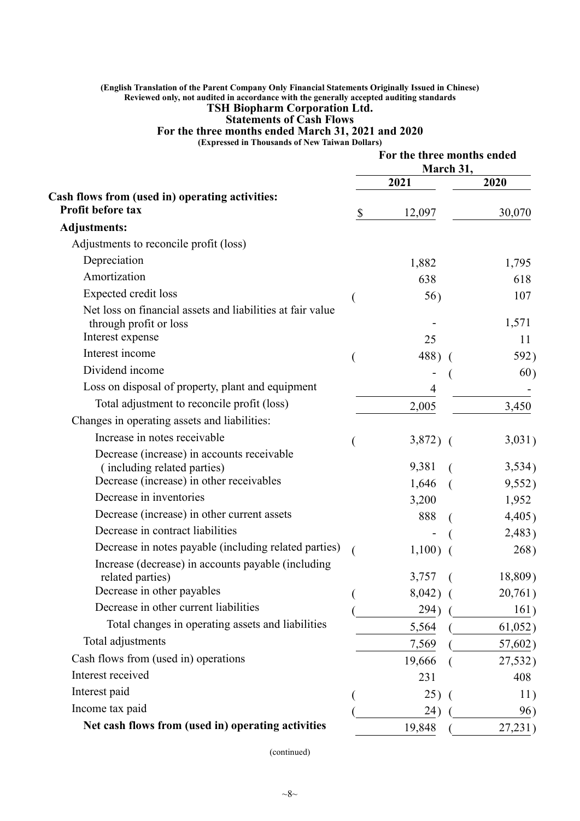#### **(English Translation of the Parent Company Only Financial Statements Originally Issued in Chinese) Reviewed only, not audited in accordance with the generally accepted auditing standards TSH Biopharm Corporation Ltd.**

# **Statements of Cash Flows**

**For the three months ended March 31, 2021 and 2020**

**(Expressed in Thousands of New Taiwan Dollars)**

|                                                                                      | For the three months ended<br>March 31, |         |
|--------------------------------------------------------------------------------------|-----------------------------------------|---------|
|                                                                                      | 2021                                    | 2020    |
| Cash flows from (used in) operating activities:                                      |                                         |         |
| Profit before tax                                                                    | \$<br>12,097                            | 30,070  |
| <b>Adjustments:</b>                                                                  |                                         |         |
| Adjustments to reconcile profit (loss)                                               |                                         |         |
| Depreciation                                                                         | 1,882                                   | 1,795   |
| Amortization                                                                         | 638                                     | 618     |
| Expected credit loss                                                                 | 56)                                     | 107     |
| Net loss on financial assets and liabilities at fair value<br>through profit or loss |                                         | 1,571   |
| Interest expense                                                                     | 25                                      | 11      |
| Interest income                                                                      | 488)                                    | 592)    |
| Dividend income                                                                      |                                         | 60)     |
| Loss on disposal of property, plant and equipment                                    | 4                                       |         |
| Total adjustment to reconcile profit (loss)                                          | 2,005                                   | 3,450   |
| Changes in operating assets and liabilities:                                         |                                         |         |
| Increase in notes receivable                                                         | $3,872)$ (                              | 3,031)  |
| Decrease (increase) in accounts receivable<br>(including related parties)            | 9,381                                   | 3,534)  |
| Decrease (increase) in other receivables                                             | 1,646                                   | 9,552)  |
| Decrease in inventories                                                              | 3,200                                   | 1,952   |
| Decrease (increase) in other current assets                                          | 888                                     | 4,405)  |
| Decrease in contract liabilities                                                     |                                         | 2,483)  |
| Decrease in notes payable (including related parties)                                | 1,100)                                  | 268)    |
| Increase (decrease) in accounts payable (including<br>related parties)               | 3,757                                   | 18,809) |
| Decrease in other payables                                                           | 8,042)                                  | 20,761) |
| Decrease in other current liabilities                                                | 294)                                    | 161)    |
| Total changes in operating assets and liabilities                                    | 5,564                                   | 61,052) |
| Total adjustments                                                                    | 7,569                                   | 57,602) |
| Cash flows from (used in) operations                                                 | 19,666                                  | 27,532) |
| Interest received                                                                    | 231                                     | 408     |
| Interest paid                                                                        | 25)                                     | 11)     |
| Income tax paid                                                                      | 24)                                     | 96)     |
| Net cash flows from (used in) operating activities                                   | 19,848                                  | 27,231) |

(continued)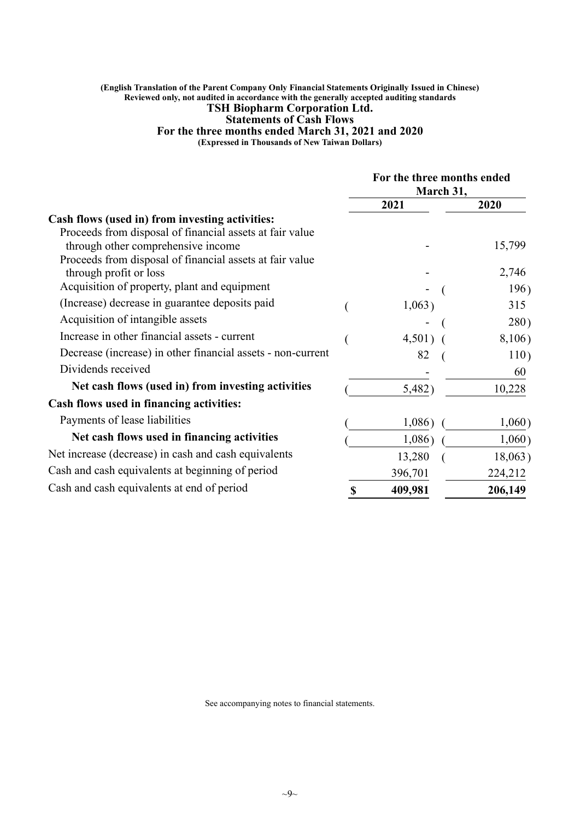#### **(English Translation of the Parent Company Only Financial Statements Originally Issued in Chinese) Reviewed only, not audited in accordance with the generally accepted auditing standards TSH Biopharm Corporation Ltd.**

#### **Statements of Cash Flows**

**For the three months ended March 31, 2021 and 2020**

**(Expressed in Thousands of New Taiwan Dollars)**

|                                                             | For the three months ended<br>March 31, |         |  |
|-------------------------------------------------------------|-----------------------------------------|---------|--|
|                                                             | 2021                                    | 2020    |  |
| Cash flows (used in) from investing activities:             |                                         |         |  |
| Proceeds from disposal of financial assets at fair value    |                                         |         |  |
| through other comprehensive income                          |                                         | 15,799  |  |
| Proceeds from disposal of financial assets at fair value    |                                         |         |  |
| through profit or loss                                      |                                         | 2,746   |  |
| Acquisition of property, plant and equipment                |                                         | 196)    |  |
| (Increase) decrease in guarantee deposits paid              | 1,063)                                  | 315     |  |
| Acquisition of intangible assets                            |                                         | 280)    |  |
| Increase in other financial assets - current                | $4,501)$ (                              | 8,106)  |  |
| Decrease (increase) in other financial assets - non-current | 82                                      | 110)    |  |
| Dividends received                                          |                                         | 60      |  |
| Net cash flows (used in) from investing activities          | 5,482)                                  | 10,228  |  |
| Cash flows used in financing activities:                    |                                         |         |  |
| Payments of lease liabilities                               | 1,086                                   | 1,060)  |  |
| Net cash flows used in financing activities                 | 1,086)                                  | 1,060)  |  |
| Net increase (decrease) in cash and cash equivalents        | 13,280                                  | 18,063) |  |
| Cash and cash equivalents at beginning of period            | 396,701                                 | 224,212 |  |
| Cash and cash equivalents at end of period                  | 409,981                                 | 206,149 |  |

See accompanying notes to financial statements.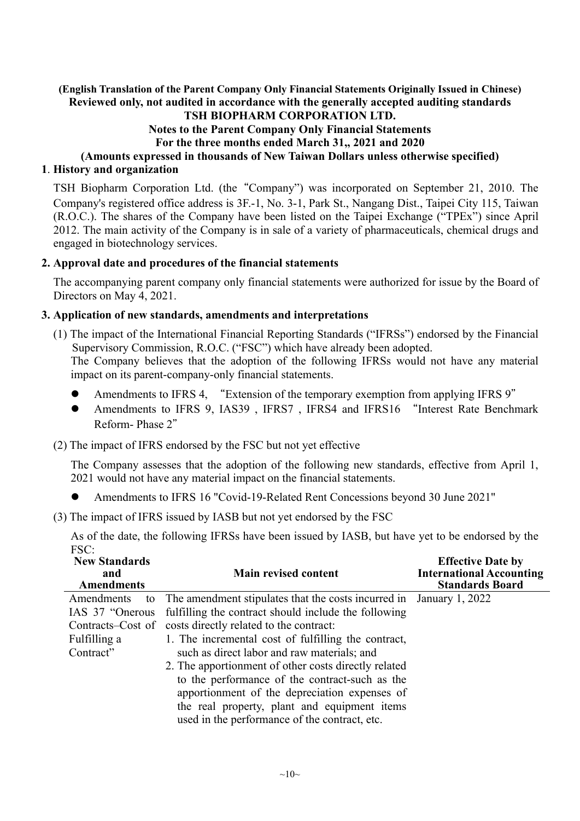# **(English Translation of the Parent Company Only Financial Statements Originally Issued in Chinese) Reviewed only, not audited in accordance with the generally accepted auditing standards**

# **TSH BIOPHARM CORPORATION LTD.**

# **Notes to the Parent Company Only Financial Statements**

**For the three months ended March 31,, 2021 and 2020**

**(Amounts expressed in thousands of New Taiwan Dollars unless otherwise specified) 1**. **History and organization**

TSH Biopharm Corporation Ltd. (the"Company") was incorporated on September 21, 2010. The Company's registered office address is 3F.-1, No. 3-1, Park St., Nangang Dist., Taipei City 115, Taiwan (R.O.C.). The shares of the Company have been listed on the Taipei Exchange ("TPEx") since April 2012. The main activity of the Company is in sale of a variety of pharmaceuticals, chemical drugs and engaged in biotechnology services.

## **2. Approval date and procedures of the financial statements**

The accompanying parent company only financial statements were authorized for issue by the Board of Directors on May 4, 2021.

# **3. Application of new standards, amendments and interpretations**

(1) The impact of the International Financial Reporting Standards ("IFRSs") endorsed by the Financial Supervisory Commission, R.O.C. ("FSC") which have already been adopted.

The Company believes that the adoption of the following IFRSs would not have any material impact on its parent-company-only financial statements.

- Amendments to IFRS 4, "Extension of the temporary exemption from applying IFRS 9"
- Amendments to IFRS 9, IAS39 , IFRS7 , IFRS4 and IFRS16 "Interest Rate Benchmark Reform- Phase 2"
- (2) The impact of IFRS endorsed by the FSC but not yet effective

The Company assesses that the adoption of the following new standards, effective from April 1, 2021 would not have any material impact on the financial statements.

- Amendments to IFRS 16 "Covid-19-Related Rent Concessions beyond 30 June 2021"
- (3) The impact of IFRS issued by IASB but not yet endorsed by the FSC

As of the date, the following IFRSs have been issued by IASB, but have yet to be endorsed by the FSC:

| <b>New Standards</b><br>and<br><b>Amendments</b> | Main revised content                                                   | <b>Effective Date by</b><br><b>International Accounting</b><br><b>Standards Board</b> |
|--------------------------------------------------|------------------------------------------------------------------------|---------------------------------------------------------------------------------------|
| Amendments                                       | to The amendment stipulates that the costs incurred in January 1, 2022 |                                                                                       |
| IAS 37 "Onerous"                                 | fulfilling the contract should include the following                   |                                                                                       |
|                                                  | Contracts–Cost of costs directly related to the contract:              |                                                                                       |
| Fulfilling a                                     | 1. The incremental cost of fulfilling the contract,                    |                                                                                       |
| Contract"                                        | such as direct labor and raw materials; and                            |                                                                                       |
|                                                  | 2. The apportionment of other costs directly related                   |                                                                                       |
|                                                  | to the performance of the contract-such as the                         |                                                                                       |
|                                                  | apportionment of the depreciation expenses of                          |                                                                                       |
|                                                  | the real property, plant and equipment items                           |                                                                                       |
|                                                  | used in the performance of the contract, etc.                          |                                                                                       |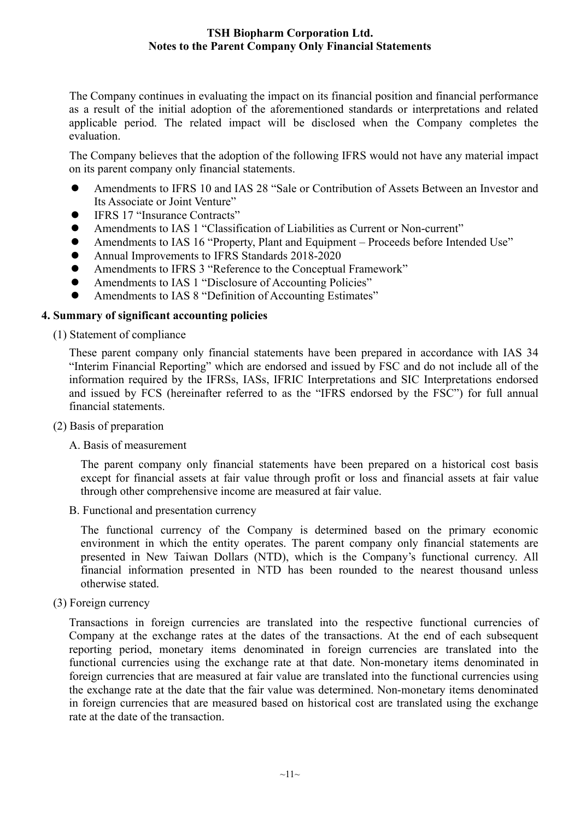The Company continues in evaluating the impact on its financial position and financial performance as a result of the initial adoption of the aforementioned standards or interpretations and related applicable period. The related impact will be disclosed when the Company completes the evaluation.

The Company believes that the adoption of the following IFRS would not have any material impact on its parent company only financial statements.

- Amendments to IFRS 10 and IAS 28 "Sale or Contribution of Assets Between an Investor and Its Associate or Joint Venture"
- IFRS 17 "Insurance Contracts"
- Amendments to IAS 1 "Classification of Liabilities as Current or Non-current"
- Amendments to IAS 16 "Property, Plant and Equipment Proceeds before Intended Use"
- Annual Improvements to IFRS Standards 2018-2020
- Amendments to IFRS 3 "Reference to the Conceptual Framework"
- Amendments to IAS 1 "Disclosure of Accounting Policies"
- Amendments to IAS 8 "Definition of Accounting Estimates"

## **4. Summary of significant accounting policies**

(1) Statement of compliance

These parent company only financial statements have been prepared in accordance with IAS 34 "Interim Financial Reporting" which are endorsed and issued by FSC and do not include all of the information required by the IFRSs, IASs, IFRIC Interpretations and SIC Interpretations endorsed and issued by FCS (hereinafter referred to as the "IFRS endorsed by the FSC") for full annual financial statements.

- (2) Basis of preparation
	- A. Basis of measurement

The parent company only financial statements have been prepared on a historical cost basis except for financial assets at fair value through profit or loss and financial assets at fair value through other comprehensive income are measured at fair value.

B. Functional and presentation currency

The functional currency of the Company is determined based on the primary economic environment in which the entity operates. The parent company only financial statements are presented in New Taiwan Dollars (NTD), which is the Company's functional currency. All financial information presented in NTD has been rounded to the nearest thousand unless otherwise stated.

(3) Foreign currency

Transactions in foreign currencies are translated into the respective functional currencies of Company at the exchange rates at the dates of the transactions. At the end of each subsequent reporting period, monetary items denominated in foreign currencies are translated into the functional currencies using the exchange rate at that date. Non-monetary items denominated in foreign currencies that are measured at fair value are translated into the functional currencies using the exchange rate at the date that the fair value was determined. Non-monetary items denominated in foreign currencies that are measured based on historical cost are translated using the exchange rate at the date of the transaction.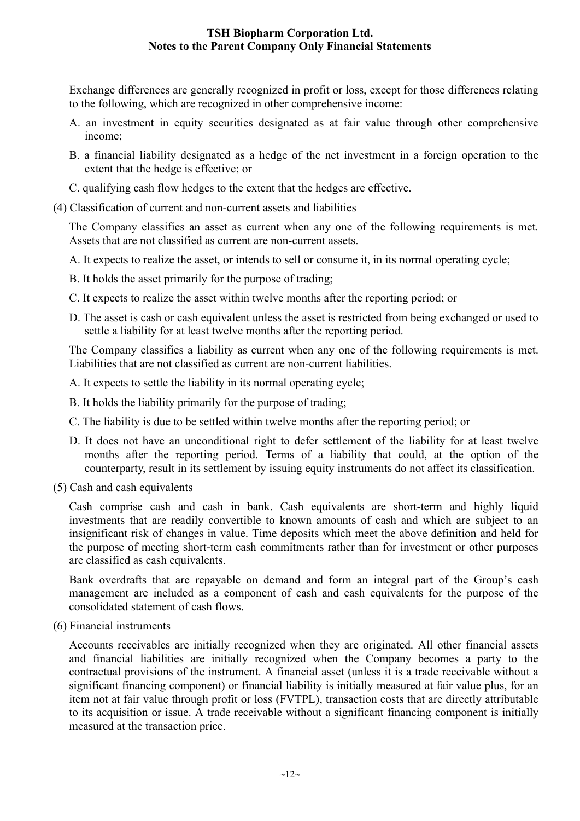Exchange differences are generally recognized in profit or loss, except for those differences relating to the following, which are recognized in other comprehensive income:

- A. an investment in equity securities designated as at fair value through other comprehensive income;
- B. a financial liability designated as a hedge of the net investment in a foreign operation to the extent that the hedge is effective; or
- C. qualifying cash flow hedges to the extent that the hedges are effective.
- (4) Classification of current and non-current assets and liabilities

The Company classifies an asset as current when any one of the following requirements is met. Assets that are not classified as current are non-current assets.

A. It expects to realize the asset, or intends to sell or consume it, in its normal operating cycle;

- B. It holds the asset primarily for the purpose of trading;
- C. It expects to realize the asset within twelve months after the reporting period; or
- D. The asset is cash or cash equivalent unless the asset is restricted from being exchanged or used to settle a liability for at least twelve months after the reporting period.

The Company classifies a liability as current when any one of the following requirements is met. Liabilities that are not classified as current are non-current liabilities.

- A. It expects to settle the liability in its normal operating cycle;
- B. It holds the liability primarily for the purpose of trading;
- C. The liability is due to be settled within twelve months after the reporting period; or
- D. It does not have an unconditional right to defer settlement of the liability for at least twelve months after the reporting period. Terms of a liability that could, at the option of the counterparty, result in its settlement by issuing equity instruments do not affect its classification.
- (5) Cash and cash equivalents

Cash comprise cash and cash in bank. Cash equivalents are short-term and highly liquid investments that are readily convertible to known amounts of cash and which are subject to an insignificant risk of changes in value. Time deposits which meet the above definition and held for the purpose of meeting short-term cash commitments rather than for investment or other purposes are classified as cash equivalents.

Bank overdrafts that are repayable on demand and form an integral part of the Group's cash management are included as a component of cash and cash equivalents for the purpose of the consolidated statement of cash flows.

(6) Financial instruments

Accounts receivables are initially recognized when they are originated. All other financial assets and financial liabilities are initially recognized when the Company becomes a party to the contractual provisions of the instrument. A financial asset (unless it is a trade receivable without a significant financing component) or financial liability is initially measured at fair value plus, for an item not at fair value through profit or loss (FVTPL), transaction costs that are directly attributable to its acquisition or issue. A trade receivable without a significant financing component is initially measured at the transaction price.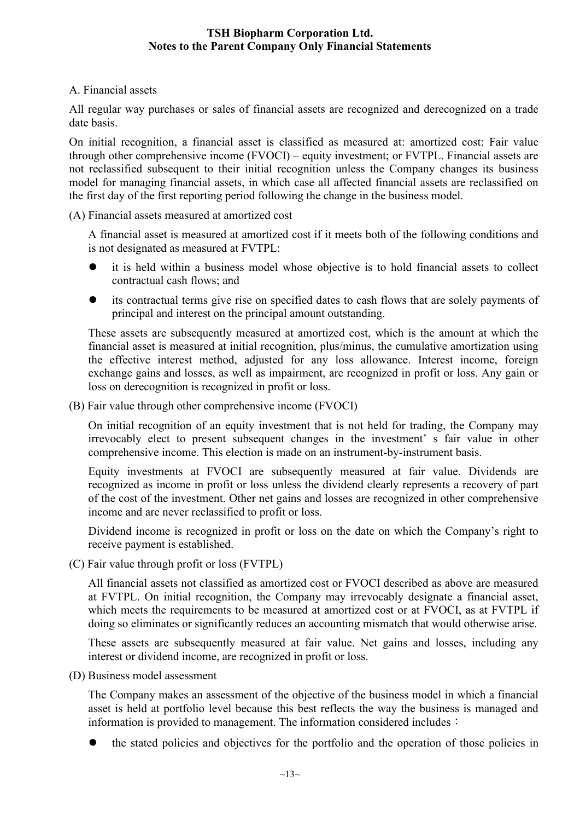A. Financial assets

All regular way purchases or sales of financial assets are recognized and derecognized on a trade date basis.

On initial recognition, a financial asset is classified as measured at: amortized cost; Fair value through other comprehensive income (FVOCI) – equity investment; or FVTPL. Financial assets are not reclassified subsequent to their initial recognition unless the Company changes its business model for managing financial assets, in which case all affected financial assets are reclassified on the first day of the first reporting period following the change in the business model.

(A) Financial assets measured at amortized cost

A financial asset is measured at amortized cost if it meets both of the following conditions and is not designated as measured at FVTPL:

- it is held within a business model whose objective is to hold financial assets to collect contractual cash flows; and
- its contractual terms give rise on specified dates to cash flows that are solely payments of principal and interest on the principal amount outstanding.

These assets are subsequently measured at amortized cost, which is the amount at which the financial asset is measured at initial recognition, plus/minus, the cumulative amortization using the effective interest method, adjusted for any loss allowance. Interest income, foreign exchange gains and losses, as well as impairment, are recognized in profit or loss. Any gain or loss on derecognition is recognized in profit or loss.

(B) Fair value through other comprehensive income (FVOCI)

On initial recognition of an equity investment that is not held for trading, the Company may irrevocably elect to present subsequent changes in the investment' s fair value in other comprehensive income. This election is made on an instrument-by-instrument basis.

Equity investments at FVOCI are subsequently measured at fair value. Dividends are recognized as income in profit or loss unless the dividend clearly represents a recovery of part of the cost of the investment. Other net gains and losses are recognized in other comprehensive income and are never reclassified to profit or loss.

Dividend income is recognized in profit or loss on the date on which the Company's right to receive payment is established.

(C) Fair value through profit or loss (FVTPL)

All financial assets not classified as amortized cost or FVOCI described as above are measured at FVTPL. On initial recognition, the Company may irrevocably designate a financial asset, which meets the requirements to be measured at amortized cost or at FVOCI, as at FVTPL if doing so eliminates or significantly reduces an accounting mismatch that would otherwise arise.

These assets are subsequently measured at fair value. Net gains and losses, including any interest or dividend income, are recognized in profit or loss.

(D) Business model assessment

The Company makes an assessment of the objective of the business model in which a financial asset is held at portfolio level because this best reflects the way the business is managed and information is provided to management. The information considered includes:

the stated policies and objectives for the portfolio and the operation of those policies in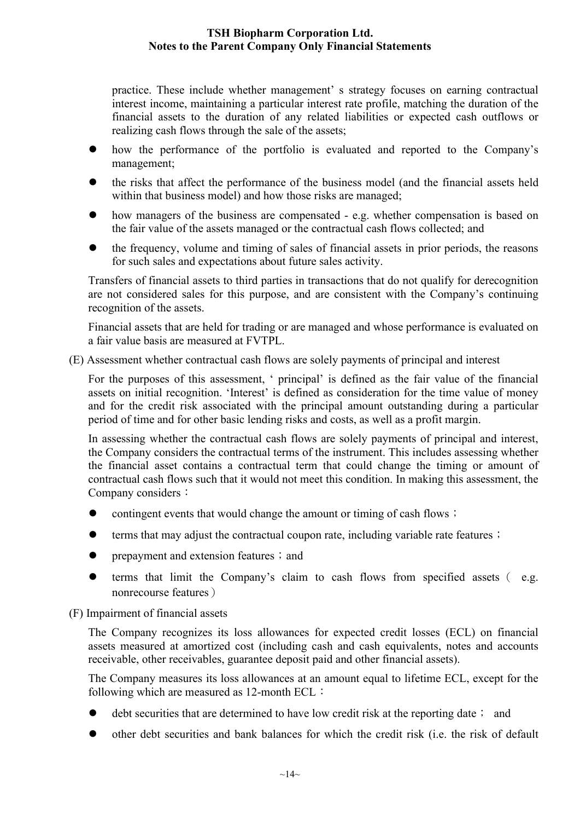practice. These include whether management' s strategy focuses on earning contractual interest income, maintaining a particular interest rate profile, matching the duration of the financial assets to the duration of any related liabilities or expected cash outflows or realizing cash flows through the sale of the assets;

- how the performance of the portfolio is evaluated and reported to the Company's management;
- the risks that affect the performance of the business model (and the financial assets held within that business model) and how those risks are managed;
- how managers of the business are compensated e.g. whether compensation is based on the fair value of the assets managed or the contractual cash flows collected; and
- the frequency, volume and timing of sales of financial assets in prior periods, the reasons for such sales and expectations about future sales activity.

Transfers of financial assets to third parties in transactions that do not qualify for derecognition are not considered sales for this purpose, and are consistent with the Company's continuing recognition of the assets.

Financial assets that are held for trading or are managed and whose performance is evaluated on a fair value basis are measured at FVTPL.

(E) Assessment whether contractual cash flows are solely payments of principal and interest

For the purposes of this assessment, ' principal' is defined as the fair value of the financial assets on initial recognition. 'Interest' is defined as consideration for the time value of money and for the credit risk associated with the principal amount outstanding during a particular period of time and for other basic lending risks and costs, as well as a profit margin.

In assessing whether the contractual cash flows are solely payments of principal and interest, the Company considers the contractual terms of the instrument. This includes assessing whether the financial asset contains a contractual term that could change the timing or amount of contractual cash flows such that it would not meet this condition. In making this assessment, the Company considers:

- contingent events that would change the amount or timing of cash flows;
- terms that may adjust the contractual coupon rate, including variable rate features;
- prepayment and extension features; and
- terms that limit the Company's claim to cash flows from specified assets( e.g. nonrecourse features)

#### (F) Impairment of financial assets

The Company recognizes its loss allowances for expected credit losses (ECL) on financial assets measured at amortized cost (including cash and cash equivalents, notes and accounts receivable, other receivables, guarantee deposit paid and other financial assets).

The Company measures its loss allowances at an amount equal to lifetime ECL, except for the following which are measured as 12-month ECL:

- debt securities that are determined to have low credit risk at the reporting date; and
- other debt securities and bank balances for which the credit risk (i.e. the risk of default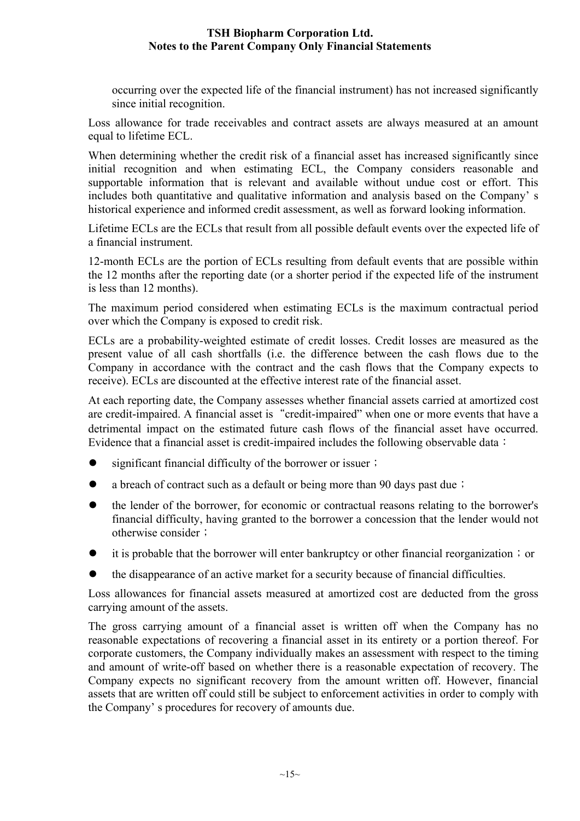occurring over the expected life of the financial instrument) has not increased significantly since initial recognition.

Loss allowance for trade receivables and contract assets are always measured at an amount equal to lifetime ECL.

When determining whether the credit risk of a financial asset has increased significantly since initial recognition and when estimating ECL, the Company considers reasonable and supportable information that is relevant and available without undue cost or effort. This includes both quantitative and qualitative information and analysis based on the Company' s historical experience and informed credit assessment, as well as forward looking information.

Lifetime ECLs are the ECLs that result from all possible default events over the expected life of a financial instrument.

12-month ECLs are the portion of ECLs resulting from default events that are possible within the 12 months after the reporting date (or a shorter period if the expected life of the instrument is less than 12 months).

The maximum period considered when estimating ECLs is the maximum contractual period over which the Company is exposed to credit risk.

ECLs are a probability-weighted estimate of credit losses. Credit losses are measured as the present value of all cash shortfalls (i.e. the difference between the cash flows due to the Company in accordance with the contract and the cash flows that the Company expects to receive). ECLs are discounted at the effective interest rate of the financial asset.

At each reporting date, the Company assesses whether financial assets carried at amortized cost are credit-impaired. A financial asset is "credit-impaired" when one or more events that have a detrimental impact on the estimated future cash flows of the financial asset have occurred. Evidence that a financial asset is credit-impaired includes the following observable data:

- significant financial difficulty of the borrower or issuer;
- a breach of contract such as a default or being more than 90 days past due;
- the lender of the borrower, for economic or contractual reasons relating to the borrower's financial difficulty, having granted to the borrower a concession that the lender would not otherwise consider;
- it is probable that the borrower will enter bankruptcy or other financial reorganization; or
- the disappearance of an active market for a security because of financial difficulties.

Loss allowances for financial assets measured at amortized cost are deducted from the gross carrying amount of the assets.

The gross carrying amount of a financial asset is written off when the Company has no reasonable expectations of recovering a financial asset in its entirety or a portion thereof. For corporate customers, the Company individually makes an assessment with respect to the timing and amount of write-off based on whether there is a reasonable expectation of recovery. The Company expects no significant recovery from the amount written off. However, financial assets that are written off could still be subject to enforcement activities in order to comply with the Company' s procedures for recovery of amounts due.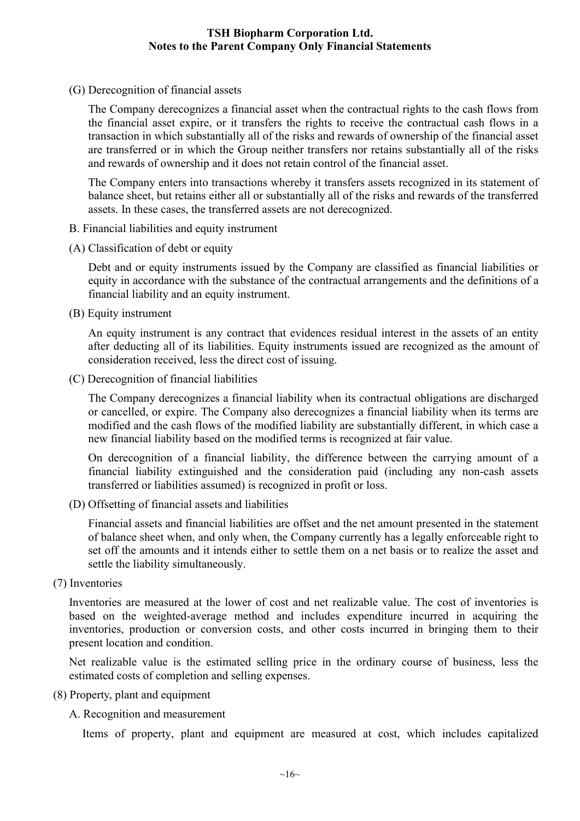(G) Derecognition of financial assets

The Company derecognizes a financial asset when the contractual rights to the cash flows from the financial asset expire, or it transfers the rights to receive the contractual cash flows in a transaction in which substantially all of the risks and rewards of ownership of the financial asset are transferred or in which the Group neither transfers nor retains substantially all of the risks and rewards of ownership and it does not retain control of the financial asset.

The Company enters into transactions whereby it transfers assets recognized in its statement of balance sheet, but retains either all or substantially all of the risks and rewards of the transferred assets. In these cases, the transferred assets are not derecognized.

- B. Financial liabilities and equity instrument
- (A) Classification of debt or equity

Debt and or equity instruments issued by the Company are classified as financial liabilities or equity in accordance with the substance of the contractual arrangements and the definitions of a financial liability and an equity instrument.

(B) Equity instrument

An equity instrument is any contract that evidences residual interest in the assets of an entity after deducting all of its liabilities. Equity instruments issued are recognized as the amount of consideration received, less the direct cost of issuing.

(C) Derecognition of financial liabilities

The Company derecognizes a financial liability when its contractual obligations are discharged or cancelled, or expire. The Company also derecognizes a financial liability when its terms are modified and the cash flows of the modified liability are substantially different, in which case a new financial liability based on the modified terms is recognized at fair value.

On derecognition of a financial liability, the difference between the carrying amount of a financial liability extinguished and the consideration paid (including any non-cash assets transferred or liabilities assumed) is recognized in profit or loss.

(D) Offsetting of financial assets and liabilities

Financial assets and financial liabilities are offset and the net amount presented in the statement of balance sheet when, and only when, the Company currently has a legally enforceable right to set off the amounts and it intends either to settle them on a net basis or to realize the asset and settle the liability simultaneously.

(7) Inventories

Inventories are measured at the lower of cost and net realizable value. The cost of inventories is based on the weighted-average method and includes expenditure incurred in acquiring the inventories, production or conversion costs, and other costs incurred in bringing them to their present location and condition.

Net realizable value is the estimated selling price in the ordinary course of business, less the estimated costs of completion and selling expenses.

- (8) Property, plant and equipment
	- A. Recognition and measurement

Items of property, plant and equipment are measured at cost, which includes capitalized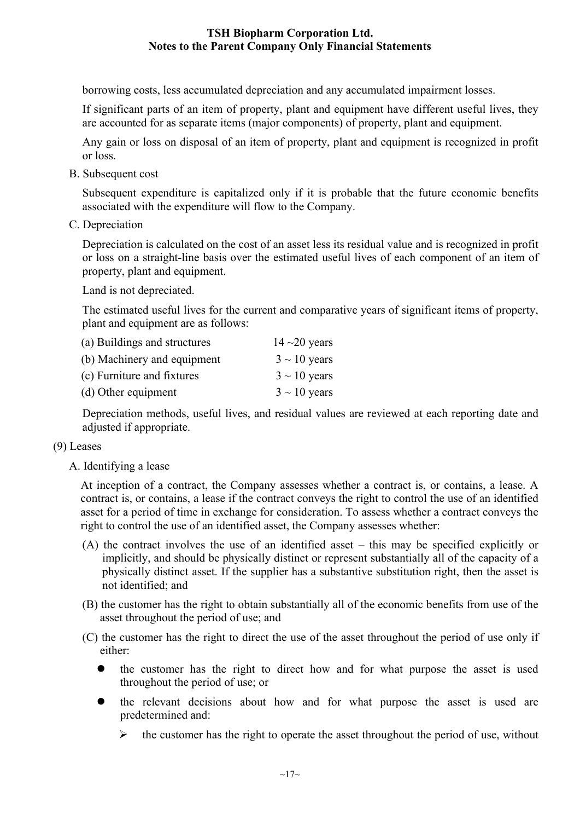borrowing costs, less accumulated depreciation and any accumulated impairment losses.

If significant parts of an item of property, plant and equipment have different useful lives, they are accounted for as separate items (major components) of property, plant and equipment.

Any gain or loss on disposal of an item of property, plant and equipment is recognized in profit or loss.

B. Subsequent cost

Subsequent expenditure is capitalized only if it is probable that the future economic benefits associated with the expenditure will flow to the Company.

C. Depreciation

Depreciation is calculated on the cost of an asset less its residual value and is recognized in profit or loss on a straight-line basis over the estimated useful lives of each component of an item of property, plant and equipment.

Land is not depreciated.

The estimated useful lives for the current and comparative years of significant items of property, plant and equipment are as follows:

| (a) Buildings and structures | $14 - 20$ years   |
|------------------------------|-------------------|
| (b) Machinery and equipment  | $3 \sim 10$ years |
| (c) Furniture and fixtures   | $3 \sim 10$ years |
| (d) Other equipment          | $3 \sim 10$ years |

Depreciation methods, useful lives, and residual values are reviewed at each reporting date and adjusted if appropriate.

## (9) Leases

A. Identifying a lease

At inception of a contract, the Company assesses whether a contract is, or contains, a lease. A contract is, or contains, a lease if the contract conveys the right to control the use of an identified asset for a period of time in exchange for consideration. To assess whether a contract conveys the right to control the use of an identified asset, the Company assesses whether:

- (A) the contract involves the use of an identified asset this may be specified explicitly or implicitly, and should be physically distinct or represent substantially all of the capacity of a physically distinct asset. If the supplier has a substantive substitution right, then the asset is not identified; and
- (B) the customer has the right to obtain substantially all of the economic benefits from use of the asset throughout the period of use; and

(C) the customer has the right to direct the use of the asset throughout the period of use only if either:

- the customer has the right to direct how and for what purpose the asset is used throughout the period of use; or
- the relevant decisions about how and for what purpose the asset is used are predetermined and:
	- $\triangleright$  the customer has the right to operate the asset throughout the period of use, without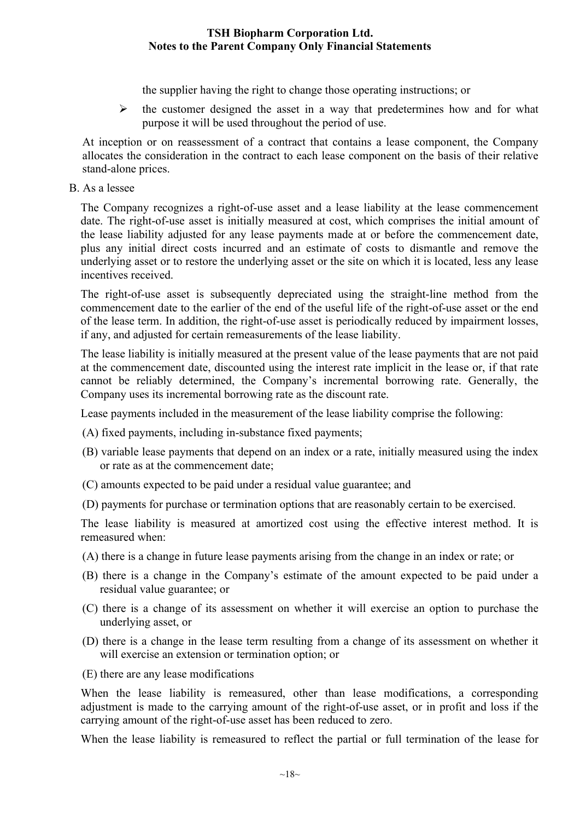the supplier having the right to change those operating instructions; or

 $\triangleright$  the customer designed the asset in a way that predetermines how and for what purpose it will be used throughout the period of use.

At inception or on reassessment of a contract that contains a lease component, the Company allocates the consideration in the contract to each lease component on the basis of their relative stand-alone prices.

#### B. As a lessee

The Company recognizes a right-of-use asset and a lease liability at the lease commencement date. The right-of-use asset is initially measured at cost, which comprises the initial amount of the lease liability adjusted for any lease payments made at or before the commencement date, plus any initial direct costs incurred and an estimate of costs to dismantle and remove the underlying asset or to restore the underlying asset or the site on which it is located, less any lease incentives received.

The right-of-use asset is subsequently depreciated using the straight-line method from the commencement date to the earlier of the end of the useful life of the right-of-use asset or the end of the lease term. In addition, the right-of-use asset is periodically reduced by impairment losses, if any, and adjusted for certain remeasurements of the lease liability.

The lease liability is initially measured at the present value of the lease payments that are not paid at the commencement date, discounted using the interest rate implicit in the lease or, if that rate cannot be reliably determined, the Company's incremental borrowing rate. Generally, the Company uses its incremental borrowing rate as the discount rate.

Lease payments included in the measurement of the lease liability comprise the following:

- (A) fixed payments, including in-substance fixed payments;
- (B) variable lease payments that depend on an index or a rate, initially measured using the index or rate as at the commencement date;
- (C) amounts expected to be paid under a residual value guarantee; and
- (D) payments for purchase or termination options that are reasonably certain to be exercised.

The lease liability is measured at amortized cost using the effective interest method. It is remeasured when:

- (A) there is a change in future lease payments arising from the change in an index or rate; or
- (B) there is a change in the Company's estimate of the amount expected to be paid under a residual value guarantee; or
- (C) there is a change of its assessment on whether it will exercise an option to purchase the underlying asset, or
- (D) there is a change in the lease term resulting from a change of its assessment on whether it will exercise an extension or termination option; or
- (E) there are any lease modifications

When the lease liability is remeasured, other than lease modifications, a corresponding adjustment is made to the carrying amount of the right-of-use asset, or in profit and loss if the carrying amount of the right-of-use asset has been reduced to zero.

When the lease liability is remeasured to reflect the partial or full termination of the lease for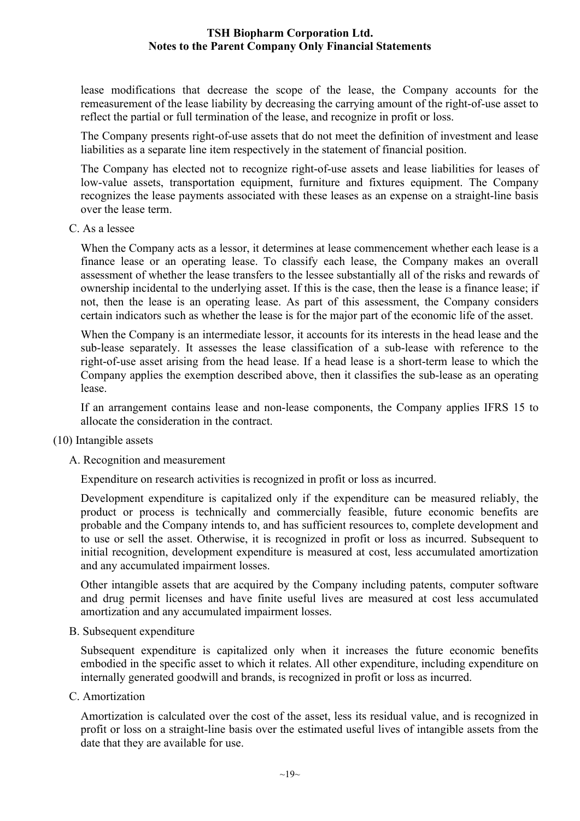lease modifications that decrease the scope of the lease, the Company accounts for the remeasurement of the lease liability by decreasing the carrying amount of the right-of-use asset to reflect the partial or full termination of the lease, and recognize in profit or loss.

The Company presents right-of-use assets that do not meet the definition of investment and lease liabilities as a separate line item respectively in the statement of financial position.

The Company has elected not to recognize right-of-use assets and lease liabilities for leases of low-value assets, transportation equipment, furniture and fixtures equipment. The Company recognizes the lease payments associated with these leases as an expense on a straight-line basis over the lease term.

C. As a lessee

When the Company acts as a lessor, it determines at lease commencement whether each lease is a finance lease or an operating lease. To classify each lease, the Company makes an overall assessment of whether the lease transfers to the lessee substantially all of the risks and rewards of ownership incidental to the underlying asset. If this is the case, then the lease is a finance lease; if not, then the lease is an operating lease. As part of this assessment, the Company considers certain indicators such as whether the lease is for the major part of the economic life of the asset.

When the Company is an intermediate lessor, it accounts for its interests in the head lease and the sub-lease separately. It assesses the lease classification of a sub-lease with reference to the right-of-use asset arising from the head lease. If a head lease is a short-term lease to which the Company applies the exemption described above, then it classifies the sub-lease as an operating lease.

If an arrangement contains lease and non-lease components, the Company applies IFRS 15 to allocate the consideration in the contract.

- (10) Intangible assets
	- A. Recognition and measurement

Expenditure on research activities is recognized in profit or loss as incurred.

Development expenditure is capitalized only if the expenditure can be measured reliably, the product or process is technically and commercially feasible, future economic benefits are probable and the Company intends to, and has sufficient resources to, complete development and to use or sell the asset. Otherwise, it is recognized in profit or loss as incurred. Subsequent to initial recognition, development expenditure is measured at cost, less accumulated amortization and any accumulated impairment losses.

Other intangible assets that are acquired by the Company including patents, computer software and drug permit licenses and have finite useful lives are measured at cost less accumulated amortization and any accumulated impairment losses.

B. Subsequent expenditure

Subsequent expenditure is capitalized only when it increases the future economic benefits embodied in the specific asset to which it relates. All other expenditure, including expenditure on internally generated goodwill and brands, is recognized in profit or loss as incurred.

C. Amortization

Amortization is calculated over the cost of the asset, less its residual value, and is recognized in profit or loss on a straight-line basis over the estimated useful lives of intangible assets from the date that they are available for use.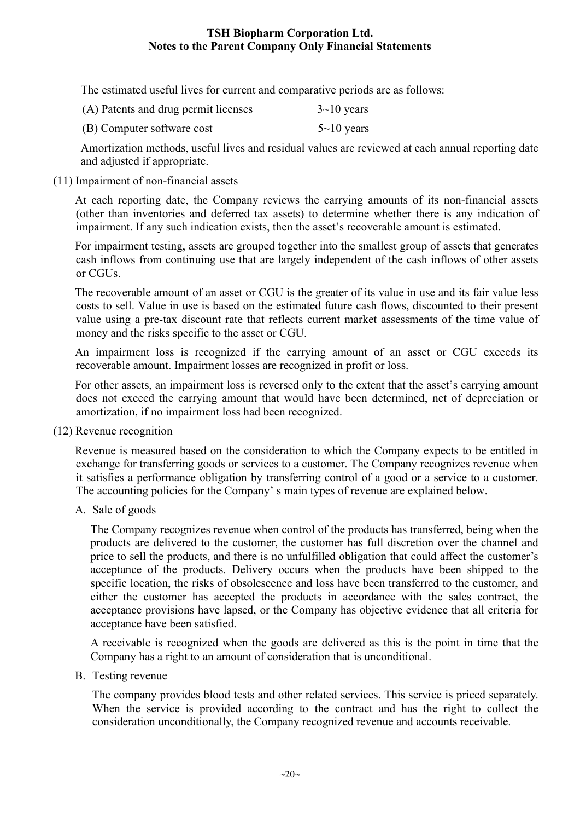The estimated useful lives for current and comparative periods are as follows:

| (A) Patents and drug permit licenses | $3 \sim 10$ years |
|--------------------------------------|-------------------|
| (B) Computer software cost           | $5 \sim 10$ years |

Amortization methods, useful lives and residual values are reviewed at each annual reporting date and adjusted if appropriate.

(11) Impairment of non-financial assets

At each reporting date, the Company reviews the carrying amounts of its non-financial assets (other than inventories and deferred tax assets) to determine whether there is any indication of impairment. If any such indication exists, then the asset's recoverable amount is estimated.

For impairment testing, assets are grouped together into the smallest group of assets that generates cash inflows from continuing use that are largely independent of the cash inflows of other assets or CGUs.

The recoverable amount of an asset or CGU is the greater of its value in use and its fair value less costs to sell. Value in use is based on the estimated future cash flows, discounted to their present value using a pre-tax discount rate that reflects current market assessments of the time value of money and the risks specific to the asset or CGU.

An impairment loss is recognized if the carrying amount of an asset or CGU exceeds its recoverable amount. Impairment losses are recognized in profit or loss.

For other assets, an impairment loss is reversed only to the extent that the asset's carrying amount does not exceed the carrying amount that would have been determined, net of depreciation or amortization, if no impairment loss had been recognized.

(12) Revenue recognition

Revenue is measured based on the consideration to which the Company expects to be entitled in exchange for transferring goods or services to a customer. The Company recognizes revenue when it satisfies a performance obligation by transferring control of a good or a service to a customer. The accounting policies for the Company' s main types of revenue are explained below.

A. Sale of goods

The Company recognizes revenue when control of the products has transferred, being when the products are delivered to the customer, the customer has full discretion over the channel and price to sell the products, and there is no unfulfilled obligation that could affect the customer's acceptance of the products. Delivery occurs when the products have been shipped to the specific location, the risks of obsolescence and loss have been transferred to the customer, and either the customer has accepted the products in accordance with the sales contract, the acceptance provisions have lapsed, or the Company has objective evidence that all criteria for acceptance have been satisfied.

A receivable is recognized when the goods are delivered as this is the point in time that the Company has a right to an amount of consideration that is unconditional.

B. Testing revenue

The company provides blood tests and other related services. This service is priced separately. When the service is provided according to the contract and has the right to collect the consideration unconditionally, the Company recognized revenue and accounts receivable.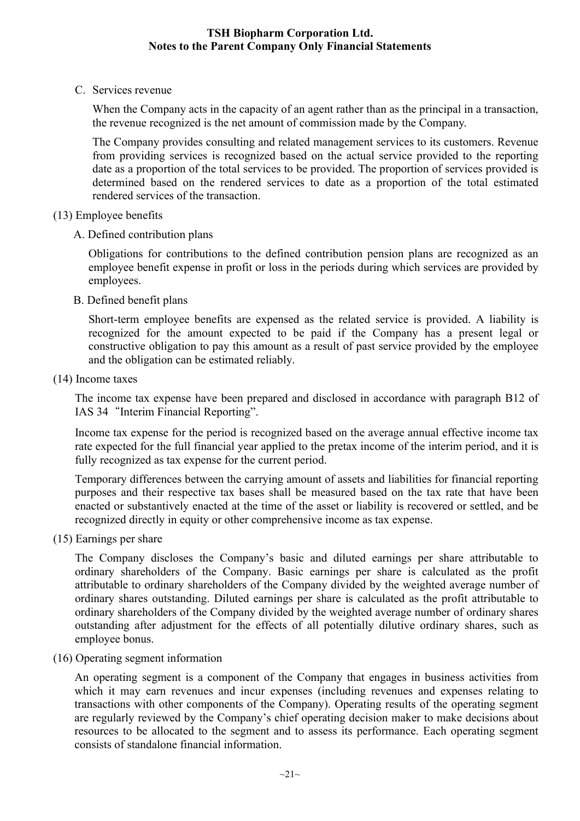C. Services revenue

When the Company acts in the capacity of an agent rather than as the principal in a transaction, the revenue recognized is the net amount of commission made by the Company.

The Company provides consulting and related management services to its customers. Revenue from providing services is recognized based on the actual service provided to the reporting date as a proportion of the total services to be provided. The proportion of services provided is determined based on the rendered services to date as a proportion of the total estimated rendered services of the transaction.

- (13) Employee benefits
	- A. Defined contribution plans

Obligations for contributions to the defined contribution pension plans are recognized as an employee benefit expense in profit or loss in the periods during which services are provided by employees.

B. Defined benefit plans

Short-term employee benefits are expensed as the related service is provided. A liability is recognized for the amount expected to be paid if the Company has a present legal or constructive obligation to pay this amount as a result of past service provided by the employee and the obligation can be estimated reliably.

(14) Income taxes

The income tax expense have been prepared and disclosed in accordance with paragraph B12 of IAS 34"Interim Financial Reporting".

Income tax expense for the period is recognized based on the average annual effective income tax rate expected for the full financial year applied to the pretax income of the interim period, and it is fully recognized as tax expense for the current period.

Temporary differences between the carrying amount of assets and liabilities for financial reporting purposes and their respective tax bases shall be measured based on the tax rate that have been enacted or substantively enacted at the time of the asset or liability is recovered or settled, and be recognized directly in equity or other comprehensive income as tax expense.

(15) Earnings per share

The Company discloses the Company's basic and diluted earnings per share attributable to ordinary shareholders of the Company. Basic earnings per share is calculated as the profit attributable to ordinary shareholders of the Company divided by the weighted average number of ordinary shares outstanding. Diluted earnings per share is calculated as the profit attributable to ordinary shareholders of the Company divided by the weighted average number of ordinary shares outstanding after adjustment for the effects of all potentially dilutive ordinary shares, such as employee bonus.

(16) Operating segment information

An operating segment is a component of the Company that engages in business activities from which it may earn revenues and incur expenses (including revenues and expenses relating to transactions with other components of the Company). Operating results of the operating segment are regularly reviewed by the Company's chief operating decision maker to make decisions about resources to be allocated to the segment and to assess its performance. Each operating segment consists of standalone financial information.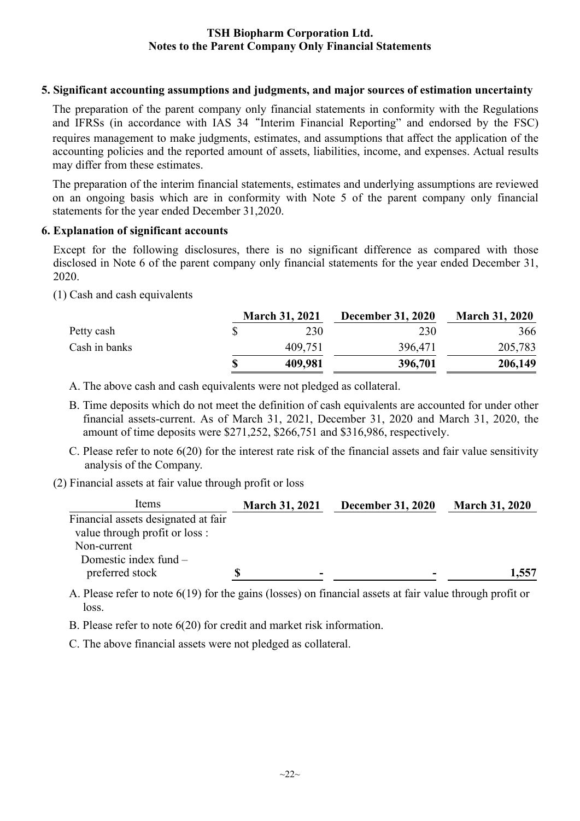#### **5. Significant accounting assumptions and judgments, and major sources of estimation uncertainty**

The preparation of the parent company only financial statements in conformity with the Regulations and IFRSs (in accordance with IAS 34"Interim Financial Reporting" and endorsed by the FSC) requires management to make judgments, estimates, and assumptions that affect the application of the accounting policies and the reported amount of assets, liabilities, income, and expenses. Actual results may differ from these estimates.

The preparation of the interim financial statements, estimates and underlying assumptions are reviewed on an ongoing basis which are in conformity with Note 5 of the parent company only financial statements for the year ended December 31,2020.

#### **6. Explanation of significant accounts**

Except for the following disclosures, there is no significant difference as compared with those disclosed in Note 6 of the parent company only financial statements for the year ended December 31, 2020.

(1) Cash and cash equivalents

|         | <b>December 31, 2020</b> | <b>March 31, 2020</b> |
|---------|--------------------------|-----------------------|
| 230     | 230                      | 366                   |
| 409,751 | 396,471                  | 205,783               |
| 409,981 | 396,701                  | 206,149               |
|         | <b>March 31, 2021</b>    |                       |

- A. The above cash and cash equivalents were not pledged as collateral.
- B. Time deposits which do not meet the definition of cash equivalents are accounted for under other financial assets-current. As of March 31, 2021, December 31, 2020 and March 31, 2020, the amount of time deposits were \$271,252, \$266,751 and \$316,986, respectively.
- C. Please refer to note 6(20) for the interest rate risk of the financial assets and fair value sensitivity analysis of the Company.
- (2) Financial assets at fair value through profit or loss

| <b>March 31, 2021</b> | <b>December 31, 2020</b> | <b>March 31, 2020</b> |
|-----------------------|--------------------------|-----------------------|
|                       |                          |                       |
|                       |                          |                       |
|                       |                          |                       |
|                       |                          |                       |
| -                     |                          | 1.557                 |
|                       |                          |                       |

- A. Please refer to note 6(19) for the gains (losses) on financial assets at fair value through profit or loss.
- B. Please refer to note 6(20) for credit and market risk information.
- C. The above financial assets were not pledged as collateral.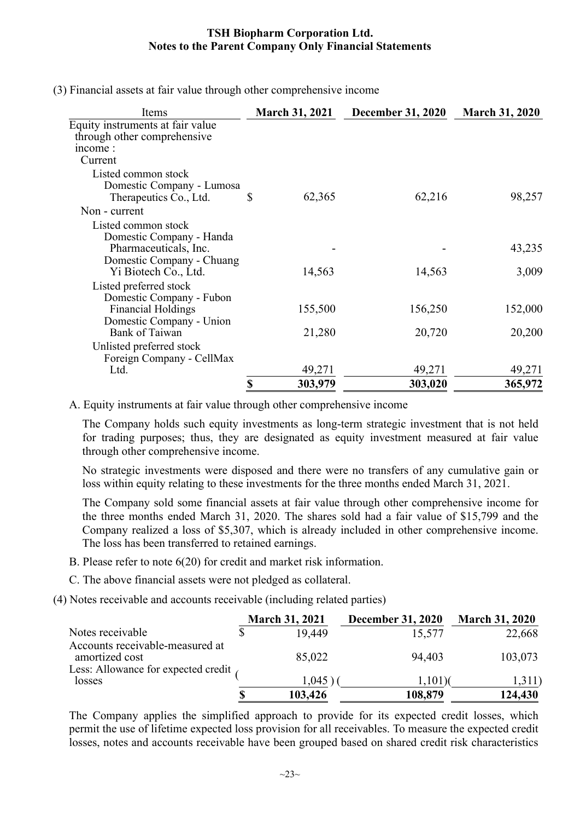(3) Financial assets at fair value through other comprehensive income

| Items                                                           |    |         | <b>March 31, 2021</b> December 31, 2020 | <b>March 31, 2020</b> |
|-----------------------------------------------------------------|----|---------|-----------------------------------------|-----------------------|
| Equity instruments at fair value<br>through other comprehensive |    |         |                                         |                       |
| income:                                                         |    |         |                                         |                       |
| Current                                                         |    |         |                                         |                       |
| Listed common stock                                             |    |         |                                         |                       |
| Domestic Company - Lumosa                                       |    |         |                                         |                       |
| Therapeutics Co., Ltd.                                          | S  | 62,365  | 62,216                                  | 98,257                |
| Non - current                                                   |    |         |                                         |                       |
| Listed common stock                                             |    |         |                                         |                       |
| Domestic Company - Handa                                        |    |         |                                         |                       |
| Pharmaceuticals, Inc.                                           |    |         |                                         | 43,235                |
| Domestic Company - Chuang                                       |    |         |                                         |                       |
| Yi Biotech Co., Ltd.                                            |    | 14,563  | 14,563                                  | 3,009                 |
| Listed preferred stock                                          |    |         |                                         |                       |
| Domestic Company - Fubon                                        |    |         |                                         |                       |
| <b>Financial Holdings</b>                                       |    | 155,500 | 156,250                                 | 152,000               |
| Domestic Company - Union                                        |    |         |                                         |                       |
| <b>Bank of Taiwan</b>                                           |    | 21,280  | 20,720                                  | 20,200                |
| Unlisted preferred stock                                        |    |         |                                         |                       |
| Foreign Company - CellMax                                       |    |         |                                         |                       |
| Ltd.                                                            |    | 49,271  | 49,271                                  | 49,271                |
|                                                                 | \$ | 303,979 | 303,020                                 | 365,972               |

A. Equity instruments at fair value through other comprehensive income

The Company holds such equity investments as long-term strategic investment that is not held for trading purposes; thus, they are designated as equity investment measured at fair value through other comprehensive income.

No strategic investments were disposed and there were no transfers of any cumulative gain or loss within equity relating to these investments for the three months ended March 31, 2021.

The Company sold some financial assets at fair value through other comprehensive income for the three months ended March 31, 2020. The shares sold had a fair value of \$15,799 and the Company realized a loss of \$5,307, which is already included in other comprehensive income. The loss has been transferred to retained earnings.

- B. Please refer to note 6(20) for credit and market risk information.
- C. The above financial assets were not pledged as collateral.
- (4) Notes receivable and accounts receivable (including related parties)

|                                                   | <b>March 31, 2021</b> |         | <b>December 31, 2020</b> | <b>March 31, 2020</b> |  |
|---------------------------------------------------|-----------------------|---------|--------------------------|-----------------------|--|
| Notes receivable                                  |                       | 19.449  | 15,577                   | 22,668                |  |
| Accounts receivable-measured at<br>amortized cost |                       | 85,022  | 94,403                   | 103,073               |  |
| Less: Allowance for expected credit<br>losses     |                       | 1,045   | 1,101                    | 1,311)                |  |
|                                                   |                       | 103,426 | 108,879                  | 124,430               |  |

The Company applies the simplified approach to provide for its expected credit losses, which permit the use of lifetime expected loss provision for all receivables. To measure the expected credit losses, notes and accounts receivable have been grouped based on shared credit risk characteristics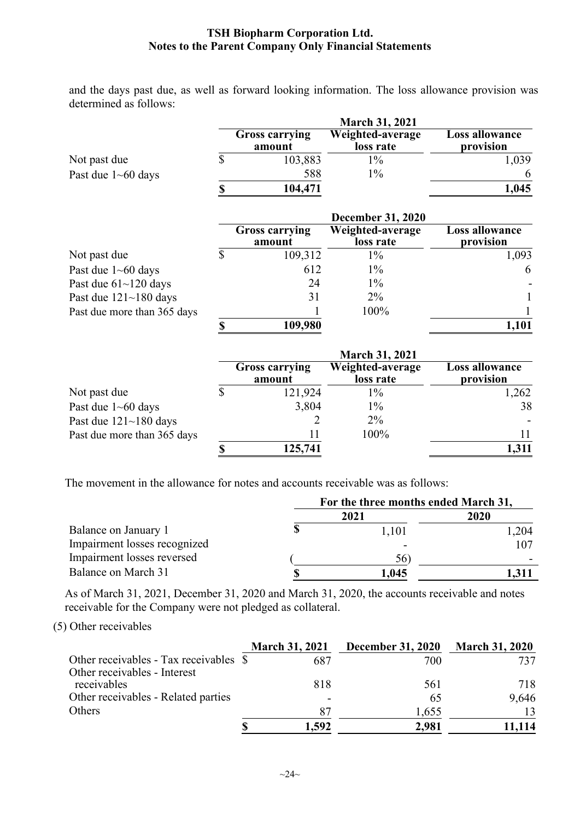and the days past due, as well as forward looking information. The loss allowance provision was determined as follows:

|                           | <b>March 31, 2021</b> |                                 |                               |                             |  |
|---------------------------|-----------------------|---------------------------------|-------------------------------|-----------------------------|--|
|                           |                       | <b>Gross carrying</b><br>amount | Weighted-average<br>loss rate | Loss allowance<br>provision |  |
| Not past due              |                       | 103,883                         | $1\%$                         | ,039                        |  |
| Past due $1 \sim 60$ days |                       | 588                             | $1\%$                         | 6                           |  |
|                           |                       | 104,471                         |                               | 1,045                       |  |

|                             | <b>December 31, 2020</b> |                                 |                               |                                    |  |
|-----------------------------|--------------------------|---------------------------------|-------------------------------|------------------------------------|--|
|                             |                          | <b>Gross carrying</b><br>amount | Weighted-average<br>loss rate | <b>Loss allowance</b><br>provision |  |
| Not past due                |                          | 109,312                         | $1\%$                         | 1,093                              |  |
| Past due $1 \sim 60$ days   |                          | 612                             | $1\%$                         | 6                                  |  |
| Past due $61~120$ days      |                          | 24                              | $1\%$                         |                                    |  |
| Past due $121 - 180$ days   |                          | 31                              | $2\%$                         |                                    |  |
| Past due more than 365 days |                          |                                 | 100%                          |                                    |  |
|                             |                          | 109,980                         |                               | l,101                              |  |

|                             | <b>March 31, 2021</b> |                                 |                               |                             |  |
|-----------------------------|-----------------------|---------------------------------|-------------------------------|-----------------------------|--|
|                             |                       | <b>Gross carrying</b><br>amount | Weighted-average<br>loss rate | Loss allowance<br>provision |  |
| Not past due                |                       | 121,924                         | 1%                            | 1,262                       |  |
| Past due $1 \sim 60$ days   |                       | 3,804                           | $1\%$                         | 38                          |  |
| Past due $121 - 180$ days   |                       |                                 | $2\%$                         |                             |  |
| Past due more than 365 days |                       |                                 | 100%                          | 11                          |  |
|                             |                       | 125,741                         |                               | 1,311                       |  |

The movement in the allowance for notes and accounts receivable was as follows:

|                              | For the three months ended March 31, |       |      |
|------------------------------|--------------------------------------|-------|------|
|                              |                                      | 2021  | 2020 |
| Balance on January 1         |                                      | 1,101 | ,204 |
| Impairment losses recognized |                                      |       | 107  |
| Impairment losses reversed   |                                      | 56.   |      |
| Balance on March 31          |                                      | 1,045 |      |

As of March 31, 2021, December 31, 2020 and March 31, 2020, the accounts receivable and notes receivable for the Company were not pledged as collateral.

# (5) Other receivables

|                                        | <b>March 31, 2021</b> | <b>December 31, 2020</b> | <b>March 31, 2020</b> |
|----------------------------------------|-----------------------|--------------------------|-----------------------|
| Other receivables - Tax receivables \$ | 687                   | 700                      |                       |
| Other receivables - Interest           |                       |                          |                       |
| receivables                            | 818                   | 561                      | 718                   |
| Other receivables - Related parties    |                       | 65                       | 9,646                 |
| Others                                 | 87                    | 1,655                    | 13                    |
|                                        | 1,592                 | 2,981                    |                       |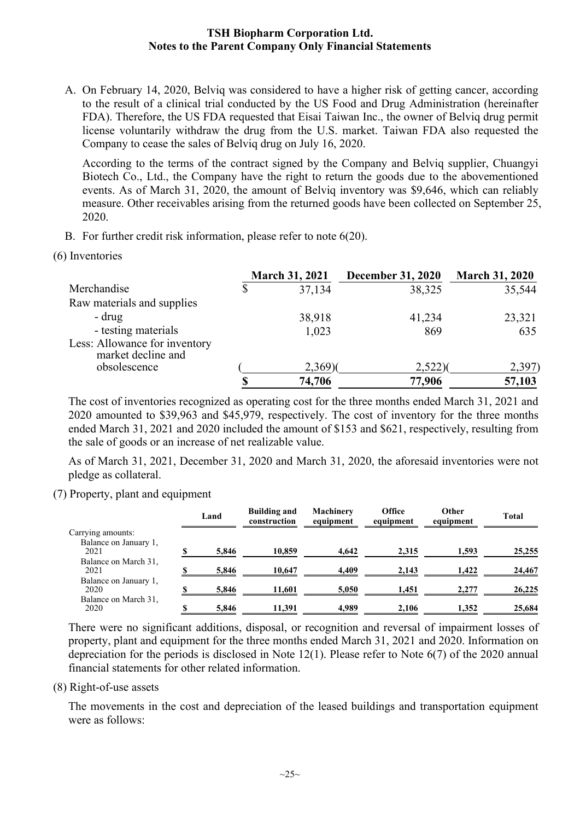A. On February 14, 2020, Belviq was considered to have a higher risk of getting cancer, according to the result of a clinical trial conducted by the US Food and Drug Administration (hereinafter FDA). Therefore, the US FDA requested that Eisai Taiwan Inc., the owner of Belviq drug permit license voluntarily withdraw the drug from the U.S. market. Taiwan FDA also requested the Company to cease the sales of Belviq drug on July 16, 2020.

According to the terms of the contract signed by the Company and Belviq supplier, Chuangyi Biotech Co., Ltd., the Company have the right to return the goods due to the abovementioned events. As of March 31, 2020, the amount of Belviq inventory was \$9,646, which can reliably measure. Other receivables arising from the returned goods have been collected on September 25, 2020.

- B. For further credit risk information, please refer to note 6(20).
- (6) Inventories

|                                                     | <b>March 31, 2021</b> | <b>December 31, 2020</b> | <b>March 31, 2020</b> |
|-----------------------------------------------------|-----------------------|--------------------------|-----------------------|
| Merchandise                                         | \$<br>37,134          | 38,325                   | 35,544                |
| Raw materials and supplies                          |                       |                          |                       |
| - drug                                              | 38,918                | 41,234                   | 23,321                |
| - testing materials                                 | 1,023                 | 869                      | 635                   |
| Less: Allowance for inventory<br>market decline and |                       |                          |                       |
| obsolescence                                        | $2,369$ )             | $2,522$ )                | 2,397                 |
|                                                     | 74,706                | 77,906                   | 57,103                |

The cost of inventories recognized as operating cost for the three months ended March 31, 2021 and 2020 amounted to \$39,963 and \$45,979, respectively. The cost of inventory for the three months ended March 31, 2021 and 2020 included the amount of \$153 and \$621, respectively, resulting from the sale of goods or an increase of net realizable value.

As of March 31, 2021, December 31, 2020 and March 31, 2020, the aforesaid inventories were not pledge as collateral.

(7) Property, plant and equipment

|                               | Land        | <b>Building and</b><br>construction | Machinery<br>equipment | Office<br>equipment | Other<br>equipment | <b>Total</b> |
|-------------------------------|-------------|-------------------------------------|------------------------|---------------------|--------------------|--------------|
| Carrying amounts:             |             |                                     |                        |                     |                    |              |
| Balance on January 1,<br>2021 | 5,846       | 10,859                              | 4,642                  | 2,315               | 1,593              | 25,255       |
| Balance on March 31,<br>2021  | 5,846       | 10,647                              | 4,409                  | 2,143               | 1.422              | 24,467       |
| Balance on January 1,<br>2020 | \$<br>5,846 | 11,601                              | 5,050                  | 1,451               | 2,277              | 26,225       |
| Balance on March 31,<br>2020  | \$<br>5,846 | 11,391                              | 4,989                  | 2,106               | 1,352              | 25,684       |

There were no significant additions, disposal, or recognition and reversal of impairment losses of property, plant and equipment for the three months ended March 31, 2021 and 2020. Information on depreciation for the periods is disclosed in Note 12(1). Please refer to Note 6(7) of the 2020 annual financial statements for other related information.

(8) Right-of-use assets

The movements in the cost and depreciation of the leased buildings and transportation equipment were as follows: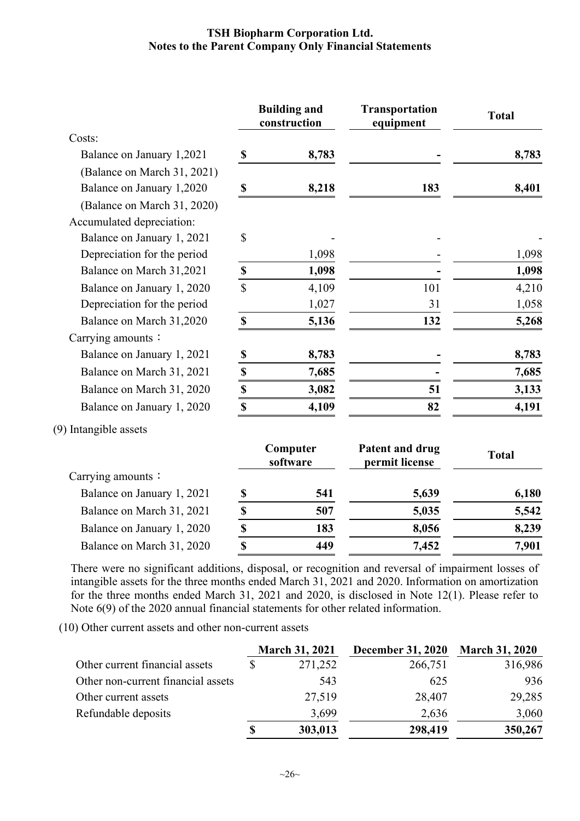|                             |                           | <b>Building and</b><br>construction | <b>Transportation</b><br>equipment       | <b>Total</b> |
|-----------------------------|---------------------------|-------------------------------------|------------------------------------------|--------------|
| Costs:                      |                           |                                     |                                          |              |
| Balance on January 1,2021   | $\boldsymbol{\mathsf{S}}$ | 8,783                               |                                          | 8,783        |
| (Balance on March 31, 2021) |                           |                                     |                                          |              |
| Balance on January 1,2020   | $\boldsymbol{\mathsf{S}}$ | 8,218                               | 183                                      | 8,401        |
| (Balance on March 31, 2020) |                           |                                     |                                          |              |
| Accumulated depreciation:   |                           |                                     |                                          |              |
| Balance on January 1, 2021  | \$                        |                                     |                                          |              |
| Depreciation for the period |                           | 1,098                               |                                          | 1,098        |
| Balance on March 31,2021    | $\boldsymbol{\mathsf{S}}$ | 1,098                               |                                          | 1,098        |
| Balance on January 1, 2020  | \$                        | 4,109                               | 101                                      | 4,210        |
| Depreciation for the period |                           | 1,027                               | 31                                       | 1,058        |
| Balance on March 31,2020    | $\boldsymbol{\mathsf{S}}$ | 5,136                               | 132                                      | 5,268        |
| Carrying amounts:           |                           |                                     |                                          |              |
| Balance on January 1, 2021  | \$                        | 8,783                               |                                          | 8,783        |
| Balance on March 31, 2021   | $\mathbb S$               | 7,685                               |                                          | 7,685        |
| Balance on March 31, 2020   | $\mathbb S$               | 3,082                               | 51                                       | 3,133        |
| Balance on January 1, 2020  | $\mathbb{S}$              | 4,109                               | 82                                       | 4,191        |
| (9) Intangible assets       |                           |                                     |                                          |              |
|                             |                           | Computer<br>software                | <b>Patent and drug</b><br>permit license | <b>Total</b> |
| Carrying amounts:           |                           |                                     |                                          |              |
| Balance on January 1, 2021  | $\boldsymbol{\mathsf{S}}$ | 541                                 | 5,639                                    | 6,180        |
| Balance on March 31, 2021   | $\mathbb S$               | 507                                 | 5,035                                    | 5,542        |
| Balance on January 1, 2020  | \$                        | 183                                 | 8,056                                    | 8,239        |
| Balance on March 31, 2020   | \$                        | 449                                 | 7,452                                    | 7,901        |

There were no significant additions, disposal, or recognition and reversal of impairment losses of intangible assets for the three months ended March 31, 2021 and 2020. Information on amortization for the three months ended March 31, 2021 and 2020, is disclosed in Note 12(1). Please refer to Note 6(9) of the 2020 annual financial statements for other related information.

(10) Other current assets and other non-current assets

|                                    | <b>March 31, 2021</b> | December 31, 2020 March 31, 2020 |         |
|------------------------------------|-----------------------|----------------------------------|---------|
| Other current financial assets     | 271,252               | 266,751                          | 316,986 |
| Other non-current financial assets | 543                   | 625                              | 936     |
| Other current assets               | 27,519                | 28,407                           | 29,285  |
| Refundable deposits                | 3,699                 | 2,636                            | 3,060   |
|                                    | \$<br>303,013         | 298,419                          | 350,267 |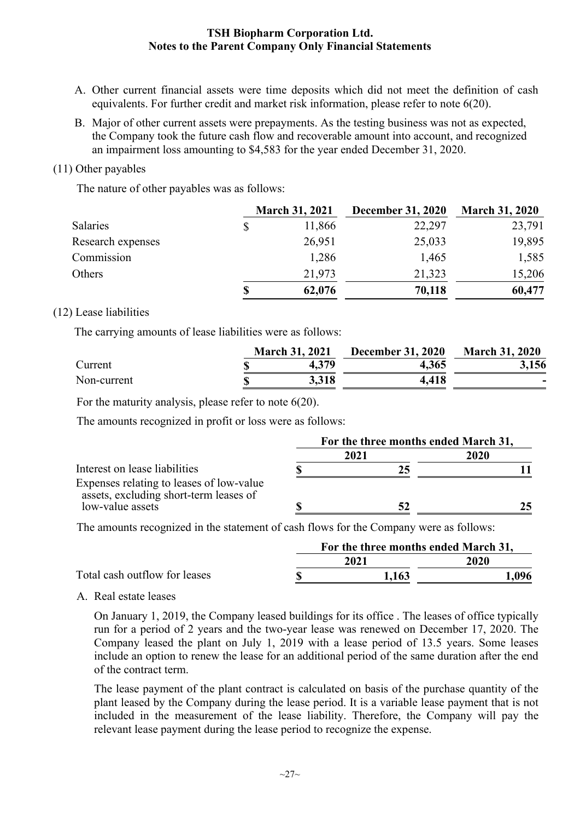- A. Other current financial assets were time deposits which did not meet the definition of cash equivalents. For further credit and market risk information, please refer to note 6(20).
- B. Major of other current assets were prepayments. As the testing business was not as expected, the Company took the future cash flow and recoverable amount into account, and recognized an impairment loss amounting to \$4,583 for the year ended December 31, 2020.

#### (11) Other payables

The nature of other payables was as follows:

|                   | <b>March 31, 2021</b> | <b>December 31, 2020</b> | <b>March 31, 2020</b> |
|-------------------|-----------------------|--------------------------|-----------------------|
| Salaries          | 11,866                | 22,297                   | 23,791                |
| Research expenses | 26,951                | 25,033                   | 19,895                |
| Commission        | 1,286                 | 1,465                    | 1,585                 |
| Others            | 21,973                | 21,323                   | 15,206                |
|                   | 62,076                | 70,118                   | 60,477                |

## (12) Lease liabilities

The carrying amounts of lease liabilities were as follows:

|             |  | <b>March 31, 2021</b> | <b>December 31, 2020</b> | <b>March 31, 2020</b> |
|-------------|--|-----------------------|--------------------------|-----------------------|
| Current     |  | 4.379                 | 4,365                    | 3,156                 |
| Non-current |  | 3.318                 | 4.418                    | -                     |

For the maturity analysis, please refer to note 6(20).

The amounts recognized in profit or loss were as follows:

|                                                                                                        | For the three months ended March 31, |      |      |
|--------------------------------------------------------------------------------------------------------|--------------------------------------|------|------|
|                                                                                                        |                                      | 2021 | 2020 |
| Interest on lease liabilities                                                                          |                                      |      |      |
| Expenses relating to leases of low-value<br>assets, excluding short-term leases of<br>low-value assets |                                      |      | 25.  |

The amounts recognized in the statement of cash flows for the Company were as follows:

|                               | For the three months ended March 31, |       |      |
|-------------------------------|--------------------------------------|-------|------|
|                               |                                      | 2021  | 2020 |
| Total cash outflow for leases |                                      | 1,163 | .096 |

A. Real estate leases

On January 1, 2019, the Company leased buildings for its office . The leases of office typically run for a period of 2 years and the two-year lease was renewed on December 17, 2020. The Company leased the plant on July 1, 2019 with a lease period of 13.5 years. Some leases include an option to renew the lease for an additional period of the same duration after the end of the contract term.

The lease payment of the plant contract is calculated on basis of the purchase quantity of the plant leased by the Company during the lease period. It is a variable lease payment that is not included in the measurement of the lease liability. Therefore, the Company will pay the relevant lease payment during the lease period to recognize the expense.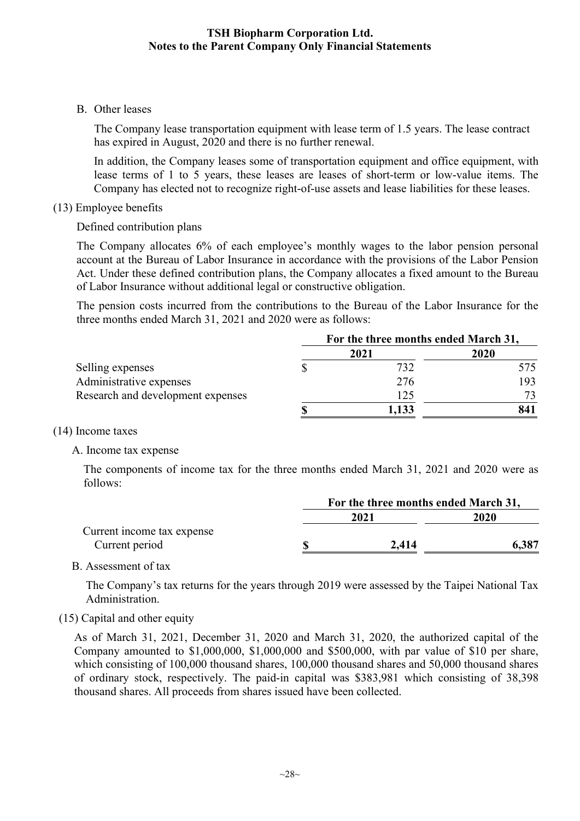#### B. Other leases

The Company lease transportation equipment with lease term of 1.5 years. The lease contract has expired in August, 2020 and there is no further renewal.

In addition, the Company leases some of transportation equipment and office equipment, with lease terms of 1 to 5 years, these leases are leases of short-term or low-value items. The Company has elected not to recognize right-of-use assets and lease liabilities for these leases.

#### (13) Employee benefits

#### Defined contribution plans

The Company allocates 6% of each employee's monthly wages to the labor pension personal account at the Bureau of Labor Insurance in accordance with the provisions of the Labor Pension Act. Under these defined contribution plans, the Company allocates a fixed amount to the Bureau of Labor Insurance without additional legal or constructive obligation.

The pension costs incurred from the contributions to the Bureau of the Labor Insurance for the three months ended March 31, 2021 and 2020 were as follows:

|                                   | For the three months ended March 31, |      |  |
|-----------------------------------|--------------------------------------|------|--|
|                                   | 2021                                 | 2020 |  |
| Selling expenses                  | 732                                  | 575. |  |
| Administrative expenses           | 276                                  | 193  |  |
| Research and development expenses | 125                                  | 73   |  |
|                                   | 1,133                                | 841  |  |

#### (14) Income taxes

#### A. Income tax expense

The components of income tax for the three months ended March 31, 2021 and 2020 were as follows:

|                            | For the three months ended March 31, |       |             |  |
|----------------------------|--------------------------------------|-------|-------------|--|
|                            |                                      | 2021  | <b>2020</b> |  |
| Current income tax expense |                                      |       |             |  |
| Current period             |                                      | 2.414 | 6,387       |  |

#### B. Assessment of tax

The Company's tax returns for the years through 2019 were assessed by the Taipei National Tax Administration.

## (15) Capital and other equity

As of March 31, 2021, December 31, 2020 and March 31, 2020, the authorized capital of the Company amounted to \$1,000,000, \$1,000,000 and \$500,000, with par value of \$10 per share, which consisting of 100,000 thousand shares, 100,000 thousand shares and 50,000 thousand shares of ordinary stock, respectively. The paid-in capital was \$383,981 which consisting of 38,398 thousand shares. All proceeds from shares issued have been collected.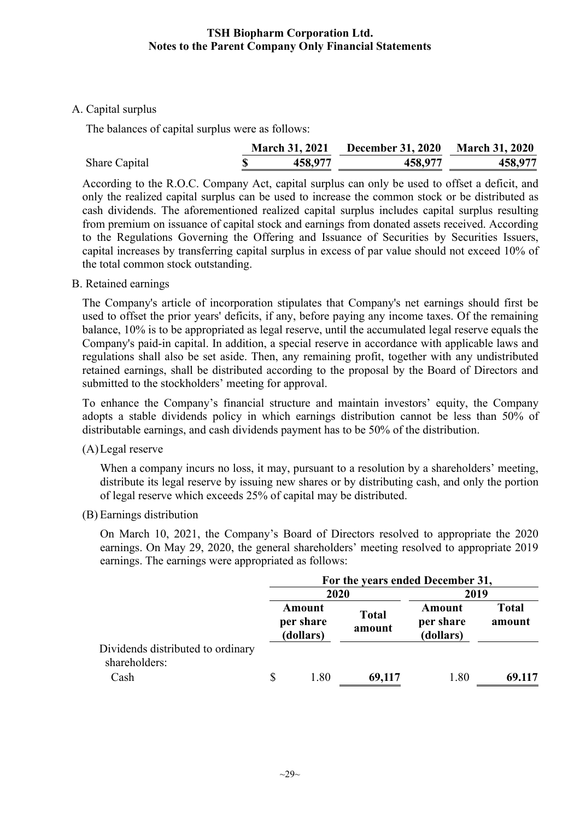#### A. Capital surplus

The balances of capital surplus were as follows:

|                      |         | March 31, 2021 December 31, 2020 March 31, 2020 |         |
|----------------------|---------|-------------------------------------------------|---------|
| <b>Share Capital</b> | 458,977 | 458,977                                         | 458,977 |

According to the R.O.C. Company Act, capital surplus can only be used to offset a deficit, and only the realized capital surplus can be used to increase the common stock or be distributed as cash dividends. The aforementioned realized capital surplus includes capital surplus resulting from premium on issuance of capital stock and earnings from donated assets received. According to the Regulations Governing the Offering and Issuance of Securities by Securities Issuers, capital increases by transferring capital surplus in excess of par value should not exceed 10% of the total common stock outstanding.

B. Retained earnings

The Company's article of incorporation stipulates that Company's net earnings should first be used to offset the prior years' deficits, if any, before paying any income taxes. Of the remaining balance, 10% is to be appropriated as legal reserve, until the accumulated legal reserve equals the Company's paid-in capital. In addition, a special reserve in accordance with applicable laws and regulations shall also be set aside. Then, any remaining profit, together with any undistributed retained earnings, shall be distributed according to the proposal by the Board of Directors and submitted to the stockholders' meeting for approval.

To enhance the Company's financial structure and maintain investors' equity, the Company adopts a stable dividends policy in which earnings distribution cannot be less than 50% of distributable earnings, and cash dividends payment has to be 50% of the distribution.

(A)Legal reserve

When a company incurs no loss, it may, pursuant to a resolution by a shareholders' meeting, distribute its legal reserve by issuing new shares or by distributing cash, and only the portion of legal reserve which exceeds 25% of capital may be distributed.

(B) Earnings distribution

On March 10, 2021, the Company's Board of Directors resolved to appropriate the 2020 earnings. On May 29, 2020, the general shareholders' meeting resolved to appropriate 2019 earnings. The earnings were appropriated as follows:

|                                                    | For the years ended December 31, |                                  |                        |                                  |                        |
|----------------------------------------------------|----------------------------------|----------------------------------|------------------------|----------------------------------|------------------------|
|                                                    |                                  | 2020                             |                        | 2019                             |                        |
|                                                    |                                  | Amount<br>per share<br>(dollars) | <b>Total</b><br>amount | Amount<br>per share<br>(dollars) | <b>Total</b><br>amount |
| Dividends distributed to ordinary<br>shareholders: |                                  |                                  |                        |                                  |                        |
| Cash                                               |                                  | 1.80                             | 69,117                 | 1.80                             | 69.117                 |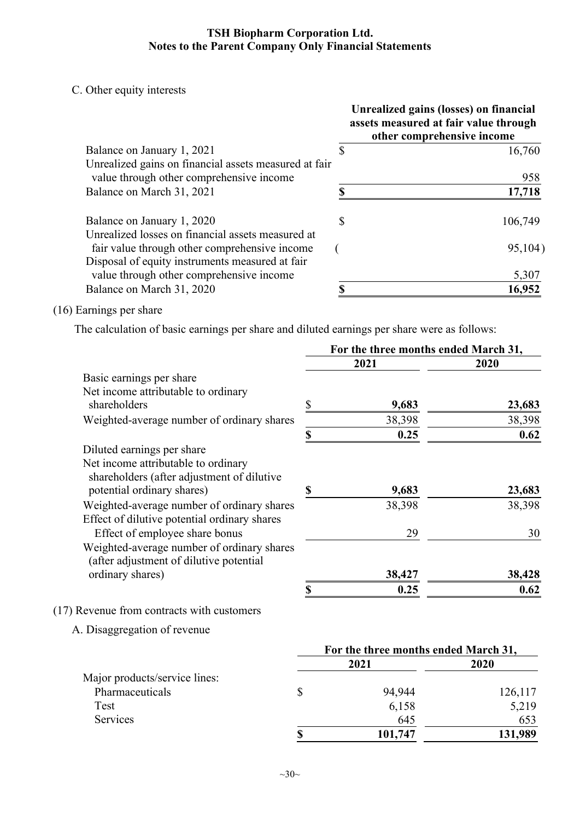C. Other equity interests

|                                                       |    | Unrealized gains (losses) on financial<br>assets measured at fair value through<br>other comprehensive income |
|-------------------------------------------------------|----|---------------------------------------------------------------------------------------------------------------|
| Balance on January 1, 2021                            | \$ | 16,760                                                                                                        |
| Unrealized gains on financial assets measured at fair |    |                                                                                                               |
| value through other comprehensive income              |    | 958                                                                                                           |
| Balance on March 31, 2021                             | ¢  | 17,718                                                                                                        |
| Balance on January 1, 2020                            | \$ | 106,749                                                                                                       |
| Unrealized losses on financial assets measured at     |    |                                                                                                               |
| fair value through other comprehensive income         |    | 95,104)                                                                                                       |
| Disposal of equity instruments measured at fair       |    |                                                                                                               |
| value through other comprehensive income              |    | 5,307                                                                                                         |
| Balance on March 31, 2020                             | œ  | 16,952                                                                                                        |

(16) Earnings per share

The calculation of basic earnings per share and diluted earnings per share were as follows:

|                                              | For the three months ended March 31, |        |  |
|----------------------------------------------|--------------------------------------|--------|--|
|                                              | 2021                                 | 2020   |  |
| Basic earnings per share                     |                                      |        |  |
| Net income attributable to ordinary          |                                      |        |  |
| shareholders                                 | 9,683                                | 23,683 |  |
| Weighted-average number of ordinary shares   | 38,398                               | 38,398 |  |
|                                              | 0.25<br>\$                           | 0.62   |  |
| Diluted earnings per share                   |                                      |        |  |
| Net income attributable to ordinary          |                                      |        |  |
| shareholders (after adjustment of dilutive   |                                      |        |  |
| potential ordinary shares)                   | 9,683                                | 23,683 |  |
| Weighted-average number of ordinary shares   | 38,398                               | 38,398 |  |
| Effect of dilutive potential ordinary shares |                                      |        |  |
| Effect of employee share bonus               | 29                                   | 30     |  |
| Weighted-average number of ordinary shares   |                                      |        |  |
| (after adjustment of dilutive potential)     |                                      |        |  |
| ordinary shares)                             | 38,427                               | 38,428 |  |
|                                              | 0.25                                 | 0.62   |  |

(17) Revenue from contracts with customers

A. Disaggregation of revenue

|                               | For the three months ended March 31, |         |         |
|-------------------------------|--------------------------------------|---------|---------|
|                               |                                      | 2021    | 2020    |
| Major products/service lines: |                                      |         |         |
| Pharmaceuticals               |                                      | 94,944  | 126,117 |
| Test                          |                                      | 6,158   | 5,219   |
| Services                      |                                      | 645     | 653     |
|                               |                                      | 101,747 | 131,989 |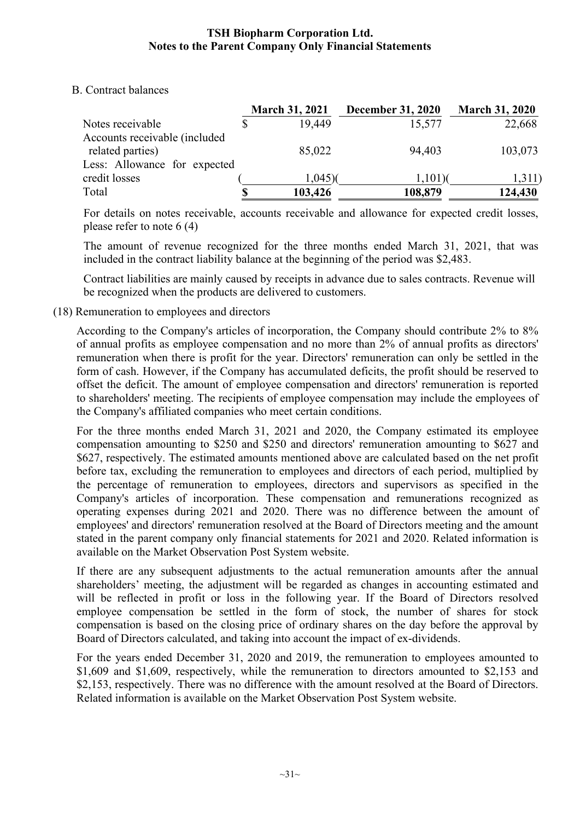#### B. Contract balances

|                               | <b>March 31, 2021</b> | <b>December 31, 2020</b> | <b>March 31, 2020</b> |
|-------------------------------|-----------------------|--------------------------|-----------------------|
| Notes receivable              | 19.449                | 15,577                   | 22,668                |
| Accounts receivable (included |                       |                          |                       |
| related parties)              | 85,022                | 94,403                   | 103,073               |
| Less: Allowance for expected  |                       |                          |                       |
| credit losses                 | $1,045$ )(            | $1,101$ )(               | 1,311)                |
| Total                         | 103,426               | 108,879                  | 124,430               |

For details on notes receivable, accounts receivable and allowance for expected credit losses, please refer to note 6 (4)

The amount of revenue recognized for the three months ended March 31, 2021, that was included in the contract liability balance at the beginning of the period was \$2,483.

Contract liabilities are mainly caused by receipts in advance due to sales contracts. Revenue will be recognized when the products are delivered to customers.

(18) Remuneration to employees and directors

According to the Company's articles of incorporation, the Company should contribute 2% to 8% of annual profits as employee compensation and no more than 2% of annual profits as directors' remuneration when there is profit for the year. Directors' remuneration can only be settled in the form of cash. However, if the Company has accumulated deficits, the profit should be reserved to offset the deficit. The amount of employee compensation and directors' remuneration is reported to shareholders' meeting. The recipients of employee compensation may include the employees of the Company's affiliated companies who meet certain conditions.

For the three months ended March 31, 2021 and 2020, the Company estimated its employee compensation amounting to \$250 and \$250 and directors' remuneration amounting to \$627 and \$627, respectively. The estimated amounts mentioned above are calculated based on the net profit before tax, excluding the remuneration to employees and directors of each period, multiplied by the percentage of remuneration to employees, directors and supervisors as specified in the Company's articles of incorporation. These compensation and remunerations recognized as operating expenses during 2021 and 2020. There was no difference between the amount of employees' and directors' remuneration resolved at the Board of Directors meeting and the amount stated in the parent company only financial statements for 2021 and 2020. Related information is available on the Market Observation Post System website.

If there are any subsequent adjustments to the actual remuneration amounts after the annual shareholders' meeting, the adjustment will be regarded as changes in accounting estimated and will be reflected in profit or loss in the following year. If the Board of Directors resolved employee compensation be settled in the form of stock, the number of shares for stock compensation is based on the closing price of ordinary shares on the day before the approval by Board of Directors calculated, and taking into account the impact of ex-dividends.

For the years ended December 31, 2020 and 2019, the remuneration to employees amounted to \$1,609 and \$1,609, respectively, while the remuneration to directors amounted to \$2,153 and \$2,153, respectively. There was no difference with the amount resolved at the Board of Directors. Related information is available on the Market Observation Post System website.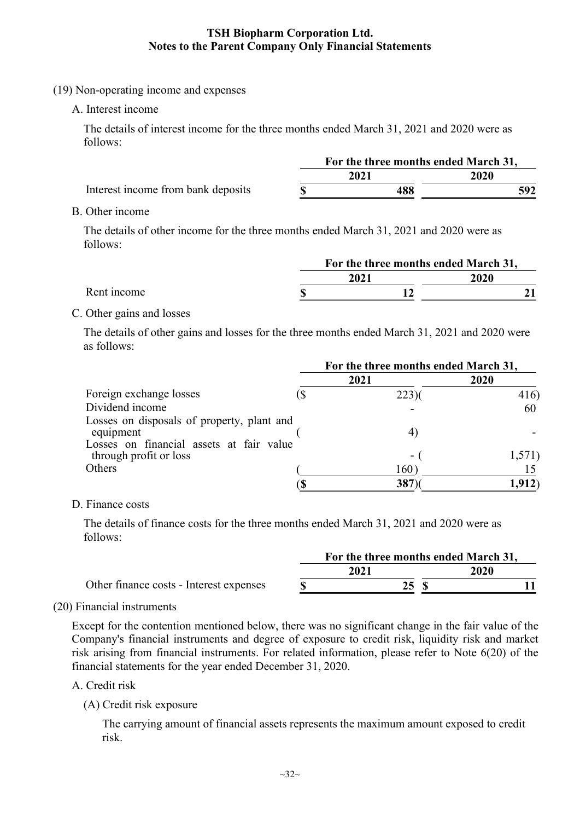- (19) Non-operating income and expenses
	- A. Interest income

The details of interest income for the three months ended March 31, 2021 and 2020 were as follows:

|                                    | For the three months ended March 31, |      |      |
|------------------------------------|--------------------------------------|------|------|
|                                    |                                      | 2021 | 2020 |
| Interest income from bank deposits |                                      | 488  | 592  |

B. Other income

The details of other income for the three months ended March 31, 2021 and 2020 were as follows:

|             | For the three months ended March 31, |      |      |
|-------------|--------------------------------------|------|------|
|             |                                      | 2021 | 2020 |
| Rent income |                                      |      |      |

C. Other gains and losses

The details of other gains and losses for the three months ended March 31, 2021 and 2020 were as follows:

|                                                                                                     | For the three months ended March 31, |      |        |  |
|-----------------------------------------------------------------------------------------------------|--------------------------------------|------|--------|--|
|                                                                                                     |                                      | 2021 | 2020   |  |
| Foreign exchange losses                                                                             | \$                                   | 223( | 416)   |  |
| Dividend income                                                                                     |                                      |      | 60     |  |
| Losses on disposals of property, plant and<br>equipment<br>Losses on financial assets at fair value |                                      | 4)   |        |  |
| through profit or loss                                                                              |                                      | ۰.   | 1,571) |  |
| Others                                                                                              |                                      | 160  |        |  |
|                                                                                                     |                                      | 387  | .912   |  |

## D. Finance costs

The details of finance costs for the three months ended March 31, 2021 and 2020 were as follows:

|                                         | For the three months ended March 31, |      |  |      |  |
|-----------------------------------------|--------------------------------------|------|--|------|--|
|                                         |                                      | 2021 |  | 2020 |  |
| Other finance costs - Interest expenses |                                      | 25   |  |      |  |

(20) Financial instruments

Except for the contention mentioned below, there was no significant change in the fair value of the Company's financial instruments and degree of exposure to credit risk, liquidity risk and market risk arising from financial instruments. For related information, please refer to Note 6(20) of the financial statements for the year ended December 31, 2020.

- A. Credit risk
	- (A) Credit risk exposure

The carrying amount of financial assets represents the maximum amount exposed to credit risk.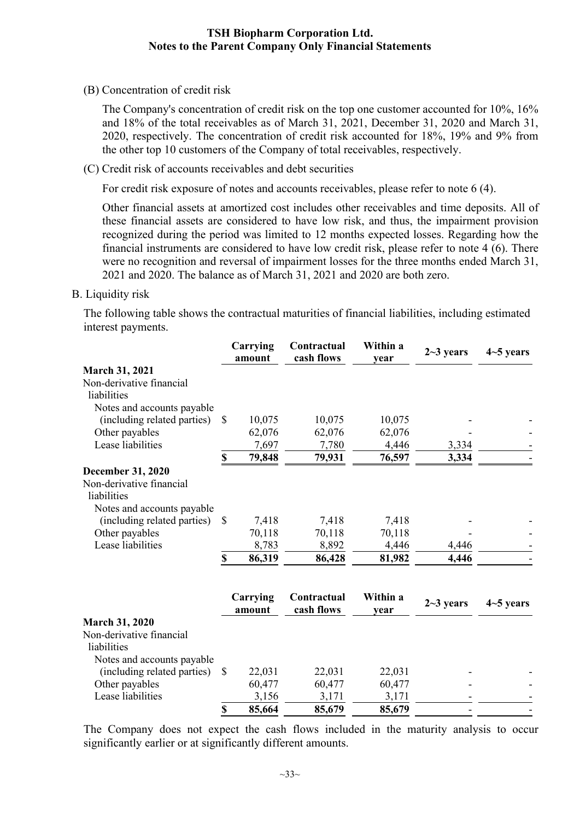(B) Concentration of credit risk

The Company's concentration of credit risk on the top one customer accounted for 10%, 16% and 18% of the total receivables as of March 31, 2021, December 31, 2020 and March 31, 2020, respectively. The concentration of credit risk accounted for 18%, 19% and 9% from the other top 10 customers of the Company of total receivables, respectively.

(C) Credit risk of accounts receivables and debt securities

For credit risk exposure of notes and accounts receivables, please refer to note 6 (4).

Other financial assets at amortized cost includes other receivables and time deposits. All of these financial assets are considered to have low risk, and thus, the impairment provision recognized during the period was limited to 12 months expected losses. Regarding how the financial instruments are considered to have low credit risk, please refer to note 4 (6). There were no recognition and reversal of impairment losses for the three months ended March 31, 2021 and 2020. The balance as of March 31, 2021 and 2020 are both zero.

B. Liquidity risk

The following table shows the contractual maturities of financial liabilities, including estimated interest payments.

|                             |     | Carrying<br>amount | Contractual<br>cash flows | Within a<br>year | $2-3$ years | $4-5$ years |
|-----------------------------|-----|--------------------|---------------------------|------------------|-------------|-------------|
| March 31, 2021              |     |                    |                           |                  |             |             |
| Non-derivative financial    |     |                    |                           |                  |             |             |
| liabilities                 |     |                    |                           |                  |             |             |
| Notes and accounts payable  |     |                    |                           |                  |             |             |
| (including related parties) | \$. | 10,075             | 10,075                    | 10,075           |             |             |
| Other payables              |     | 62,076             | 62,076                    | 62,076           |             |             |
| Lease liabilities           |     | 7,697              | 7,780                     | 4,446            | 3,334       |             |
|                             | \$  | 79,848             | 79,931                    | 76,597           | 3,334       |             |
| December 31, 2020           |     |                    |                           |                  |             |             |
| Non-derivative financial    |     |                    |                           |                  |             |             |
| liabilities                 |     |                    |                           |                  |             |             |
| Notes and accounts payable  |     |                    |                           |                  |             |             |
| (including related parties) | \$  | 7,418              | 7,418                     | 7,418            |             |             |
| Other payables              |     | 70,118             | 70,118                    | 70,118           |             |             |
| Lease liabilities           |     | 8,783              | 8,892                     | 4,446            | 4,446       |             |
|                             | \$  | 86,319             | 86,428                    | 81,982           | 4,446       |             |
|                             |     | Carrying<br>amount | Contractual<br>cash flows | Within a<br>vear | $2-3$ years | $4-5$ years |
| <b>March 31, 2020</b>       |     |                    |                           |                  |             |             |
| Non-derivative financial    |     |                    |                           |                  |             |             |
| liabilities                 |     |                    |                           |                  |             |             |
| Notes and accounts payable  |     |                    |                           |                  |             |             |
| (including related parties) | \$  | 22,031             | 22,031                    | 22,031           |             |             |
| Other payables              |     | 60,477             | 60,477                    | 60,477           |             |             |
| Lease liabilities           |     | 3,156              | 3,171                     | 3,171            |             |             |
|                             | \$  | 85,664             | 85,679                    | 85,679           |             |             |

The Company does not expect the cash flows included in the maturity analysis to occur significantly earlier or at significantly different amounts.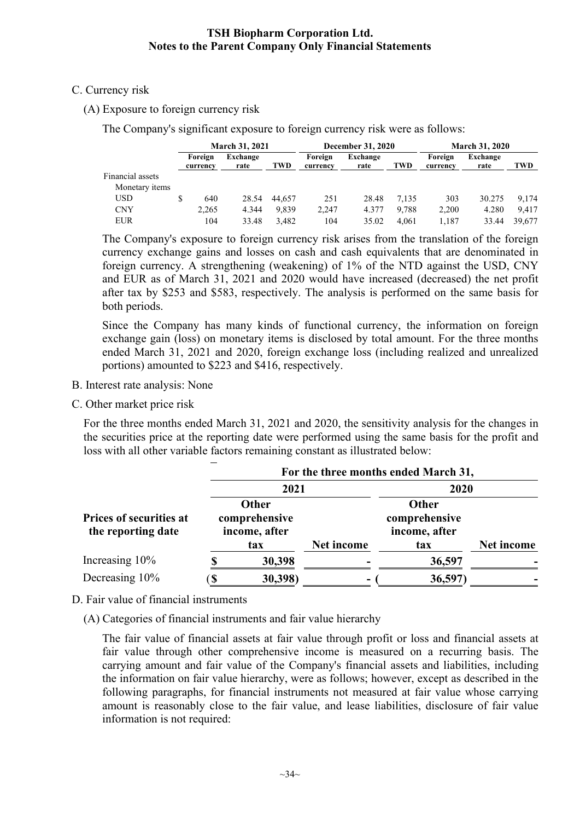#### C. Currency risk

(A) Exposure to foreign currency risk

The Company's significant exposure to foreign currency risk were as follows:

|                  | <b>March 31, 2021</b> |                  |        | <b>December 31, 2020</b> |                  |            | <b>March 31, 2020</b> |                  |        |
|------------------|-----------------------|------------------|--------|--------------------------|------------------|------------|-----------------------|------------------|--------|
|                  | Foreign<br>currency   | Exchange<br>rate | TWD    | Foreign<br>currency      | Exchange<br>rate | <b>TWD</b> | Foreign<br>currency   | Exchange<br>rate | TWD    |
| Financial assets |                       |                  |        |                          |                  |            |                       |                  |        |
| Monetary items   |                       |                  |        |                          |                  |            |                       |                  |        |
| USD              | 640                   | 28.54            | 44,657 | 251                      | 28.48            | 7.135      | 303                   | 30.275           | 9.174  |
| <b>CNY</b>       | 2,265                 | 4.344            | 9.839  | 2.247                    | 4.377            | 9.788      | 2,200                 | 4.280            | 9.417  |
| <b>EUR</b>       | 104                   | 33.48            | 3.482  | 104                      | 35.02            | 4.061      | 1.187                 | 33.44            | 39,677 |

The Company's exposure to foreign currency risk arises from the translation of the foreign currency exchange gains and losses on cash and cash equivalents that are denominated in foreign currency. A strengthening (weakening) of 1% of the NTD against the USD, CNY and EUR as of March 31, 2021 and 2020 would have increased (decreased) the net profit after tax by \$253 and \$583, respectively. The analysis is performed on the same basis for both periods.

Since the Company has many kinds of functional currency, the information on foreign exchange gain (loss) on monetary items is disclosed by total amount. For the three months ended March 31, 2021 and 2020, foreign exchange loss (including realized and unrealized portions) amounted to \$223 and \$416, respectively.

- B. Interest rate analysis: None
- C. Other market price risk

For the three months ended March 31, 2021 and 2020, the sensitivity analysis for the changes in the securities price at the reporting date were performed using the same basis for the profit and loss with all other variable factors remaining constant as illustrated below:

|                                               | For the three months ended March 31, |                                                |            |                                                |            |  |  |  |  |
|-----------------------------------------------|--------------------------------------|------------------------------------------------|------------|------------------------------------------------|------------|--|--|--|--|
|                                               |                                      | 2021                                           |            | 2020                                           |            |  |  |  |  |
| Prices of securities at<br>the reporting date |                                      | Other<br>comprehensive<br>income, after<br>tax | Net income | Other<br>comprehensive<br>income, after<br>tax | Net income |  |  |  |  |
| Increasing 10%                                |                                      | 30,398                                         |            | 36,597                                         |            |  |  |  |  |
| Decreasing 10%                                |                                      | 30,398)                                        |            | 36,597                                         |            |  |  |  |  |

D. Fair value of financial instruments

(A) Categories of financial instruments and fair value hierarchy

The fair value of financial assets at fair value through profit or loss and financial assets at fair value through other comprehensive income is measured on a recurring basis. The carrying amount and fair value of the Company's financial assets and liabilities, including the information on fair value hierarchy, were as follows; however, except as described in the following paragraphs, for financial instruments not measured at fair value whose carrying amount is reasonably close to the fair value, and lease liabilities, disclosure of fair value information is not required: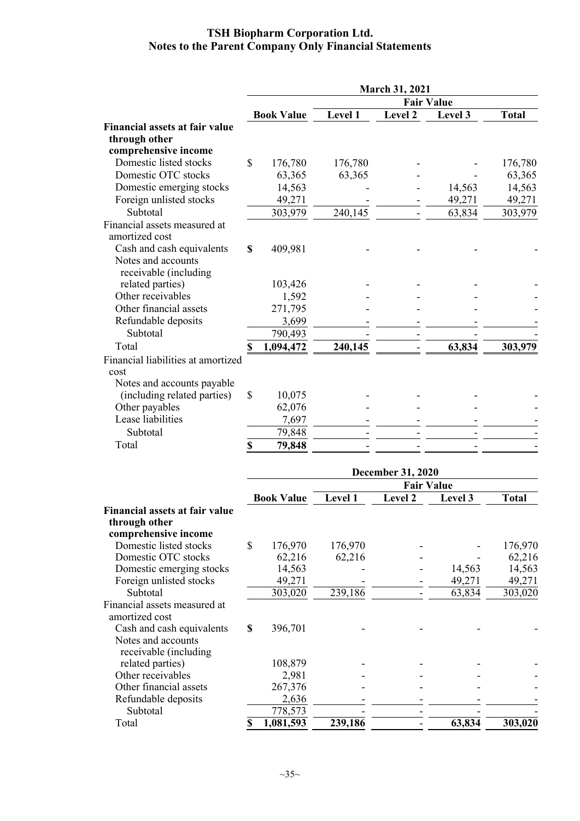|                                       |             |                   |         | March 31, 2021           |                   |              |
|---------------------------------------|-------------|-------------------|---------|--------------------------|-------------------|--------------|
|                                       |             |                   |         |                          | <b>Fair Value</b> |              |
|                                       |             | <b>Book Value</b> | Level 1 | <b>Level 2</b>           | Level 3           | <b>Total</b> |
| <b>Financial assets at fair value</b> |             |                   |         |                          |                   |              |
| through other                         |             |                   |         |                          |                   |              |
| comprehensive income                  |             |                   |         |                          |                   |              |
| Domestic listed stocks                | \$          | 176,780           | 176,780 |                          |                   | 176,780      |
| Domestic OTC stocks                   |             | 63,365            | 63,365  |                          |                   | 63,365       |
| Domestic emerging stocks              |             | 14,563            |         |                          | 14,563            | 14,563       |
| Foreign unlisted stocks               |             | 49,271            |         |                          | 49,271            | 49,271       |
| Subtotal                              |             | 303,979           | 240,145 |                          | 63,834            | 303,979      |
| Financial assets measured at          |             |                   |         |                          |                   |              |
| amortized cost                        |             |                   |         |                          |                   |              |
| Cash and cash equivalents             | $\mathbf S$ | 409,981           |         |                          |                   |              |
| Notes and accounts                    |             |                   |         |                          |                   |              |
| receivable (including                 |             |                   |         |                          |                   |              |
| related parties)                      |             | 103,426           |         |                          |                   |              |
| Other receivables                     |             | 1,592             |         |                          |                   |              |
| Other financial assets                |             | 271,795           |         |                          |                   |              |
| Refundable deposits                   |             | 3,699             |         |                          |                   |              |
| Subtotal                              |             | 790,493           |         |                          |                   |              |
| Total                                 | S           | 1,094,472         | 240,145 |                          | 63,834            | 303,979      |
| Financial liabilities at amortized    |             |                   |         |                          |                   |              |
| cost                                  |             |                   |         |                          |                   |              |
| Notes and accounts payable            |             |                   |         |                          |                   |              |
| (including related parties)           | \$          | 10,075            |         |                          |                   |              |
| Other payables                        |             | 62,076            |         |                          |                   |              |
| Lease liabilities                     |             | 7,697             |         |                          |                   |              |
| Subtotal                              |             | 79,848            |         |                          |                   |              |
| Total                                 | \$          | 79,848            |         |                          |                   |              |
|                                       |             |                   |         |                          |                   |              |
|                                       |             |                   |         | <b>December 31, 2020</b> |                   |              |
|                                       |             |                   |         |                          | <b>Fair Value</b> |              |
|                                       |             | <b>Book Value</b> | Level 1 | <b>Level 2</b>           | Level 3           | <b>Total</b> |
| <b>Financial assets at fair value</b> |             |                   |         |                          |                   |              |
| through other                         |             |                   |         |                          |                   |              |
| comprehensive income                  |             |                   |         |                          |                   |              |
| Domestic listed stocks                | \$          | 176,970           | 176,970 |                          |                   | 176,970      |
| Domestic OTC stocks                   |             | 62,216            | 62,216  |                          |                   | 62,216       |
| Domestic emerging stocks              |             | 14,563            |         |                          | 14,563            | 14,563       |
| Foreign unlisted stocks               |             | 49,271            |         |                          | 49,271            | 49,271       |
| Subtotal                              |             | 303,020           | 239,186 |                          | 63,834            | 303,020      |
| Financial assets measured at          |             |                   |         |                          |                   |              |
| amortized cost                        |             |                   |         |                          |                   |              |
| Cash and cash equivalents             | \$          | 396,701           |         |                          |                   |              |
| Notes and accounts                    |             |                   |         |                          |                   |              |
| receivable (including                 |             |                   |         |                          |                   |              |
| related parties)                      |             | 108,879           |         |                          |                   |              |
| Other receivables                     |             | 2,981             |         |                          |                   |              |
| Other financial assets                |             | 267,376           |         |                          |                   |              |
| Refundable deposits                   |             | 2,636             |         |                          |                   |              |
| Subtotal                              |             | 778,573           |         |                          |                   |              |
| Total                                 | \$          | 1,081,593         | 239,186 |                          | 63,834            | 303,020      |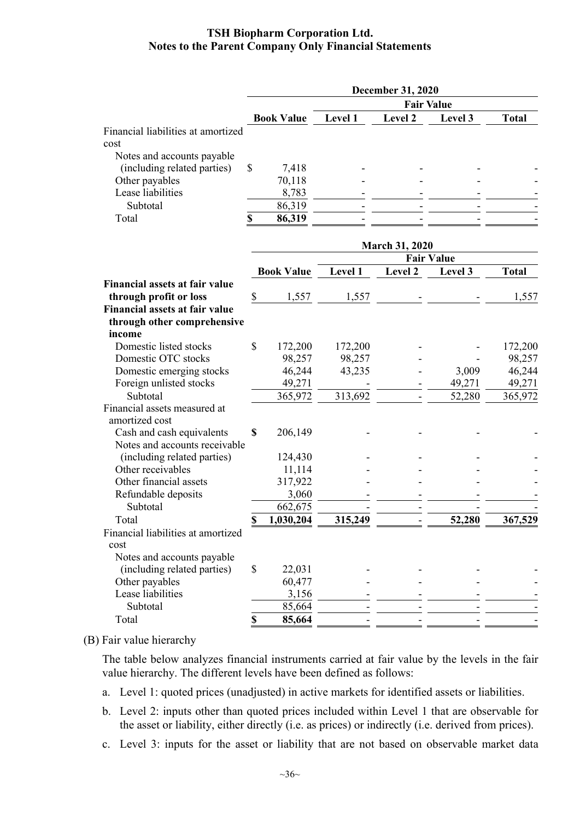|                                    | <b>December 31, 2020</b> |                   |         |                |         |              |  |  |
|------------------------------------|--------------------------|-------------------|---------|----------------|---------|--------------|--|--|
|                                    |                          |                   |         |                |         |              |  |  |
|                                    |                          | <b>Book Value</b> | Level 1 | <b>Level 2</b> | Level 3 | <b>Total</b> |  |  |
| Financial liabilities at amortized |                          |                   |         |                |         |              |  |  |
| cost                               |                          |                   |         |                |         |              |  |  |
| Notes and accounts payable         |                          |                   |         |                |         |              |  |  |
| (including related parties)        | S                        | 7,418             |         |                |         |              |  |  |
| Other payables                     |                          | 70,118            |         |                |         |              |  |  |
| Lease liabilities                  |                          | 8,783             |         |                |         |              |  |  |
| Subtotal                           |                          | 86,319            |         |                |         |              |  |  |
| Total                              |                          | 86,319            |         |                |         |              |  |  |

|                                       | <b>March 31, 2020</b> |                   |         |         |                   |              |  |
|---------------------------------------|-----------------------|-------------------|---------|---------|-------------------|--------------|--|
|                                       |                       |                   |         |         | <b>Fair Value</b> |              |  |
|                                       |                       | <b>Book Value</b> | Level 1 | Level 2 | Level 3           | <b>Total</b> |  |
| <b>Financial assets at fair value</b> |                       |                   |         |         |                   |              |  |
| through profit or loss                | \$                    | 1,557             | 1,557   |         |                   | 1,557        |  |
| <b>Financial assets at fair value</b> |                       |                   |         |         |                   |              |  |
| through other comprehensive           |                       |                   |         |         |                   |              |  |
| income                                |                       |                   |         |         |                   |              |  |
| Domestic listed stocks                | \$                    | 172,200           | 172,200 |         |                   | 172,200      |  |
| Domestic OTC stocks                   |                       | 98,257            | 98,257  |         |                   | 98,257       |  |
| Domestic emerging stocks              |                       | 46,244            | 43,235  |         | 3,009             | 46,244       |  |
| Foreign unlisted stocks               |                       | 49,271            |         |         | 49,271            | 49,271       |  |
| Subtotal                              |                       | 365,972           | 313,692 |         | 52,280            | 365,972      |  |
| Financial assets measured at          |                       |                   |         |         |                   |              |  |
| amortized cost                        |                       |                   |         |         |                   |              |  |
| Cash and cash equivalents             | \$                    | 206,149           |         |         |                   |              |  |
| Notes and accounts receivable         |                       |                   |         |         |                   |              |  |
| (including related parties)           |                       | 124,430           |         |         |                   |              |  |
| Other receivables                     |                       | 11,114            |         |         |                   |              |  |
| Other financial assets                |                       | 317,922           |         |         |                   |              |  |
| Refundable deposits                   |                       | 3,060             |         |         |                   |              |  |
| Subtotal                              |                       | 662,675           |         |         |                   |              |  |
| Total                                 | \$                    | 1,030,204         | 315,249 |         | 52,280            | 367,529      |  |
| Financial liabilities at amortized    |                       |                   |         |         |                   |              |  |
| cost                                  |                       |                   |         |         |                   |              |  |
| Notes and accounts payable            |                       |                   |         |         |                   |              |  |
| (including related parties)           | \$                    | 22,031            |         |         |                   |              |  |
| Other payables                        |                       | 60,477            |         |         |                   |              |  |
| Lease liabilities                     |                       | 3,156             |         |         |                   |              |  |
| Subtotal                              |                       | 85,664            |         |         |                   |              |  |
| Total                                 | \$                    | 85,664            |         |         |                   |              |  |

(B) Fair value hierarchy

The table below analyzes financial instruments carried at fair value by the levels in the fair value hierarchy. The different levels have been defined as follows:

- a. Level 1: quoted prices (unadjusted) in active markets for identified assets or liabilities.
- b. Level 2: inputs other than quoted prices included within Level 1 that are observable for the asset or liability, either directly (i.e. as prices) or indirectly (i.e. derived from prices).
- c. Level 3: inputs for the asset or liability that are not based on observable market data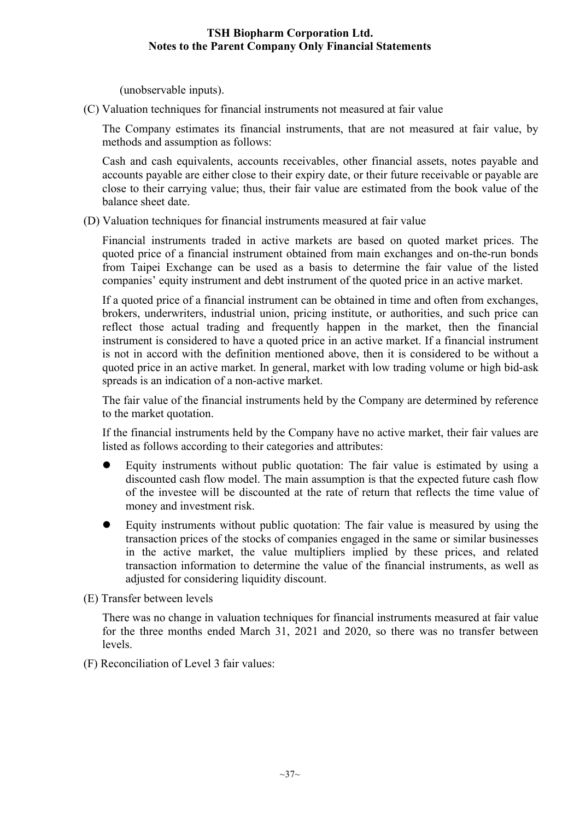(unobservable inputs).

(C) Valuation techniques for financial instruments not measured at fair value

The Company estimates its financial instruments, that are not measured at fair value, by methods and assumption as follows:

Cash and cash equivalents, accounts receivables, other financial assets, notes payable and accounts payable are either close to their expiry date, or their future receivable or payable are close to their carrying value; thus, their fair value are estimated from the book value of the balance sheet date.

(D) Valuation techniques for financial instruments measured at fair value

Financial instruments traded in active markets are based on quoted market prices. The quoted price of a financial instrument obtained from main exchanges and on-the-run bonds from Taipei Exchange can be used as a basis to determine the fair value of the listed companies' equity instrument and debt instrument of the quoted price in an active market.

If a quoted price of a financial instrument can be obtained in time and often from exchanges, brokers, underwriters, industrial union, pricing institute, or authorities, and such price can reflect those actual trading and frequently happen in the market, then the financial instrument is considered to have a quoted price in an active market. If a financial instrument is not in accord with the definition mentioned above, then it is considered to be without a quoted price in an active market. In general, market with low trading volume or high bid-ask spreads is an indication of a non-active market.

The fair value of the financial instruments held by the Company are determined by reference to the market quotation.

If the financial instruments held by the Company have no active market, their fair values are listed as follows according to their categories and attributes:

- Equity instruments without public quotation: The fair value is estimated by using a discounted cash flow model. The main assumption is that the expected future cash flow of the investee will be discounted at the rate of return that reflects the time value of money and investment risk.
- Equity instruments without public quotation: The fair value is measured by using the transaction prices of the stocks of companies engaged in the same or similar businesses in the active market, the value multipliers implied by these prices, and related transaction information to determine the value of the financial instruments, as well as adjusted for considering liquidity discount.

(E) Transfer between levels

There was no change in valuation techniques for financial instruments measured at fair value for the three months ended March 31, 2021 and 2020, so there was no transfer between levels.

(F) Reconciliation of Level 3 fair values: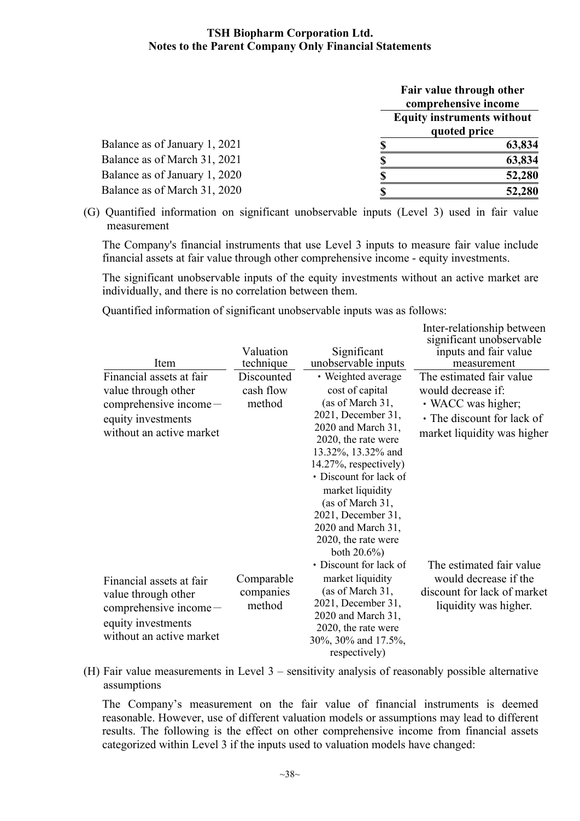|                               | Fair value through other<br>comprehensive income |                                                   |
|-------------------------------|--------------------------------------------------|---------------------------------------------------|
|                               |                                                  | <b>Equity instruments without</b><br>quoted price |
| Balance as of January 1, 2021 |                                                  | 63,834                                            |
| Balance as of March 31, 2021  |                                                  | 63,834                                            |
| Balance as of January 1, 2020 |                                                  | 52,280                                            |
| Balance as of March 31, 2020  |                                                  | 52,280                                            |

(G) Quantified information on significant unobservable inputs (Level 3) used in fair value measurement

The Company's financial instruments that use Level 3 inputs to measure fair value include financial assets at fair value through other comprehensive income - equity investments.

The significant unobservable inputs of the equity investments without an active market are individually, and there is no correlation between them.

Inter-relationship between

Quantified information of significant unobservable inputs was as follows:

| Item                       | Valuation<br>technique | Significant<br>unobservable inputs        | significant unobservable<br>inputs and fair value<br>measurement |
|----------------------------|------------------------|-------------------------------------------|------------------------------------------------------------------|
| Financial assets at fair   | Discounted             | • Weighted average                        | The estimated fair value                                         |
| value through other        | cash flow              | cost of capital                           | would decrease if:                                               |
| $comprehensive$ income $-$ | method                 | (as of March 31,                          | • WACC was higher;                                               |
| equity investments         |                        | 2021, December 31,                        | • The discount for lack of                                       |
| without an active market   |                        | 2020 and March 31,<br>2020, the rate were | market liquidity was higher                                      |
|                            |                        | 13.32%, 13.32% and                        |                                                                  |
|                            |                        | 14.27%, respectively)                     |                                                                  |
|                            |                        | • Discount for lack of                    |                                                                  |
|                            |                        | market liquidity                          |                                                                  |
|                            |                        | (as of March 31,                          |                                                                  |
|                            |                        | 2021, December 31,                        |                                                                  |
|                            |                        | 2020 and March 31,<br>2020, the rate were |                                                                  |
|                            |                        | both $20.6\%$ )                           |                                                                  |
|                            |                        | • Discount for lack of                    | The estimated fair value                                         |
| Financial assets at fair   | Comparable             | market liquidity                          | would decrease if the                                            |
| value through other        | companies              | (as of March 31,                          | discount for lack of market                                      |
| $comprehensive$ income $-$ | method                 | 2021, December 31,                        | liquidity was higher.                                            |
| equity investments         |                        | 2020 and March 31,                        |                                                                  |
| without an active market   |                        | 2020, the rate were                       |                                                                  |
|                            |                        | 30%, 30% and 17.5%,<br>respectively)      |                                                                  |

(H) Fair value measurements in Level 3 – sensitivity analysis of reasonably possible alternative assumptions

The Company's measurement on the fair value of financial instruments is deemed reasonable. However, use of different valuation models or assumptions may lead to different results. The following is the effect on other comprehensive income from financial assets categorized within Level 3 if the inputs used to valuation models have changed: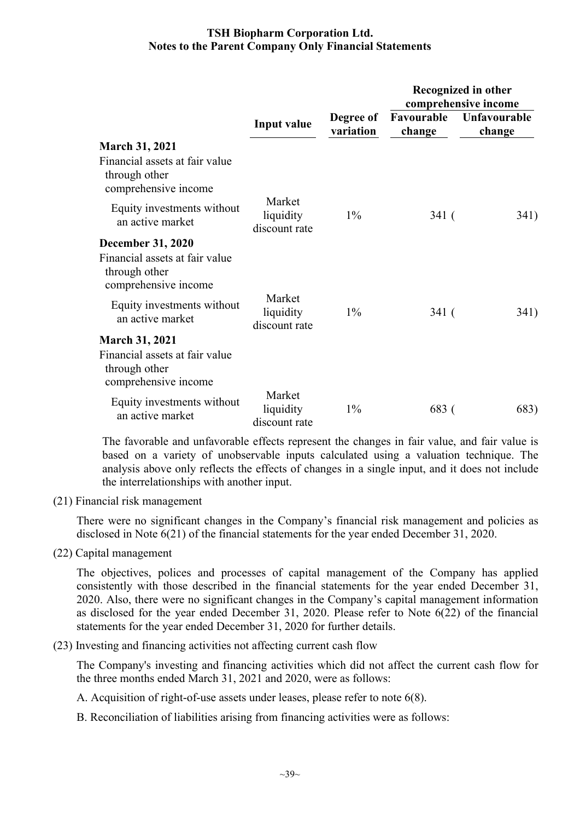|                                                                         |                                      |                        | Recognized in other<br>comprehensive income |                        |  |
|-------------------------------------------------------------------------|--------------------------------------|------------------------|---------------------------------------------|------------------------|--|
|                                                                         | <b>Input value</b>                   | Degree of<br>variation | Favourable<br>change                        | Unfavourable<br>change |  |
| <b>March 31, 2021</b>                                                   |                                      |                        |                                             |                        |  |
| Financial assets at fair value<br>through other<br>comprehensive income |                                      |                        |                                             |                        |  |
| Equity investments without<br>an active market                          | Market<br>liquidity<br>discount rate | $1\%$                  | 341(                                        | 341)                   |  |
| <b>December 31, 2020</b>                                                |                                      |                        |                                             |                        |  |
| Financial assets at fair value<br>through other<br>comprehensive income |                                      |                        |                                             |                        |  |
| Equity investments without<br>an active market                          | Market<br>liquidity<br>discount rate | $1\%$                  | 341(                                        | 341)                   |  |
| <b>March 31, 2021</b>                                                   |                                      |                        |                                             |                        |  |
| Financial assets at fair value<br>through other<br>comprehensive income |                                      |                        |                                             |                        |  |
| Equity investments without<br>an active market                          | Market<br>liquidity<br>discount rate | $1\%$                  | 683 (                                       | 683)                   |  |

The favorable and unfavorable effects represent the changes in fair value, and fair value is based on a variety of unobservable inputs calculated using a valuation technique. The analysis above only reflects the effects of changes in a single input, and it does not include the interrelationships with another input.

(21) Financial risk management

There were no significant changes in the Company's financial risk management and policies as disclosed in Note 6(21) of the financial statements for the year ended December 31, 2020.

(22) Capital management

The objectives, polices and processes of capital management of the Company has applied consistently with those described in the financial statements for the year ended December 31, 2020. Also, there were no significant changes in the Company's capital management information as disclosed for the year ended December 31, 2020. Please refer to Note 6(22) of the financial statements for the year ended December 31, 2020 for further details.

(23) Investing and financing activities not affecting current cash flow

The Company's investing and financing activities which did not affect the current cash flow for the three months ended March 31, 2021 and 2020, were as follows:

A. Acquisition of right-of-use assets under leases, please refer to note 6(8).

B. Reconciliation of liabilities arising from financing activities were as follows: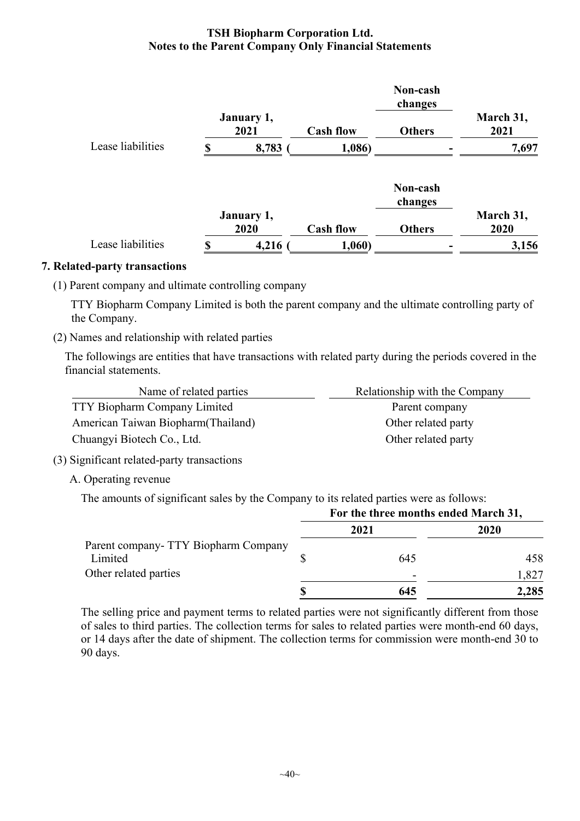|                   |                    |                  | Non-cash<br>changes |                   |
|-------------------|--------------------|------------------|---------------------|-------------------|
|                   | January 1,<br>2021 | <b>Cash flow</b> | <b>Others</b>       | March 31,<br>2021 |
| Lease liabilities | 8,783              | 1,086)           |                     | 7,697             |
|                   |                    |                  | Non-cash<br>changes |                   |
|                   | January 1,<br>2020 | <b>Cash flow</b> | <b>Others</b>       | March 31,<br>2020 |
| Lease liabilities | \$<br>4,216        | 1,060)           |                     | 3,156             |

#### **7. Related-party transactions**

(1) Parent company and ultimate controlling company

 TTY Biopharm Company Limited is both the parent company and the ultimate controlling party of the Company.

(2) Names and relationship with related parties

The followings are entities that have transactions with related party during the periods covered in the financial statements.

| Name of related parties             | Relationship with the Company |
|-------------------------------------|-------------------------------|
| <b>TTY Biopharm Company Limited</b> | Parent company                |
| American Taiwan Biopharm (Thailand) | Other related party           |
| Chuangyi Biotech Co., Ltd.          | Other related party           |

- (3) Significant related-party transactions
	- A. Operating revenue

The amounts of significant sales by the Company to its related parties were as follows:

|                                                 | For the three months ended March 31, |       |  |
|-------------------------------------------------|--------------------------------------|-------|--|
|                                                 | 2021                                 | 2020  |  |
| Parent company- TTY Biopharm Company<br>Limited | 645                                  | 458   |  |
| Other related parties                           | $\overline{\phantom{a}}$             | ,827  |  |
|                                                 | 645                                  | 2,285 |  |

The selling price and payment terms to related parties were not significantly different from those of sales to third parties. The collection terms for sales to related parties were month-end 60 days, or 14 days after the date of shipment. The collection terms for commission were month-end 30 to 90 days.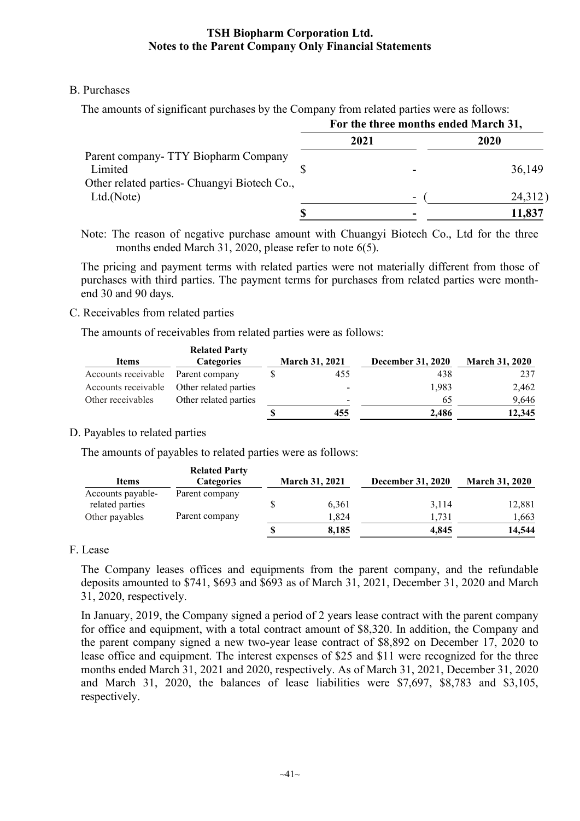#### B. Purchases

The amounts of significant purchases by the Company from related parties were as follows:

|                                               | For the three months ended March 31, |  |         |
|-----------------------------------------------|--------------------------------------|--|---------|
|                                               | 2021                                 |  | 2020    |
| Parent company- TTY Biopharm Company          |                                      |  |         |
| Limited                                       |                                      |  | 36,149  |
| Other related parties - Chuangyi Biotech Co., |                                      |  |         |
| Ltd.(Note)                                    |                                      |  | 24,312) |
|                                               |                                      |  | 11,837  |

Note: The reason of negative purchase amount with Chuangyi Biotech Co., Ltd for the three months ended March 31, 2020, please refer to note 6(5).

The pricing and payment terms with related parties were not materially different from those of purchases with third parties. The payment terms for purchases from related parties were monthend 30 and 90 days.

C. Receivables from related parties

The amounts of receivables from related parties were as follows:

|                     | <b>Related Party</b>  |                       |                          |                       |
|---------------------|-----------------------|-----------------------|--------------------------|-----------------------|
| Items               | <b>Categories</b>     | <b>March 31, 2021</b> | <b>December 31, 2020</b> | <b>March 31, 2020</b> |
| Accounts receivable | Parent company        | 455                   | 438                      | 237                   |
| Accounts receivable | Other related parties |                       | 1,983                    | 2,462                 |
| Other receivables   | Other related parties |                       | 65                       | 9.646                 |
|                     |                       | 455                   | 2,486                    | 12,345                |

#### D. Payables to related parties

The amounts of payables to related parties were as follows:

| Items                                | <b>Related Party</b><br><b>Categories</b> | <b>March 31, 2021</b> | <b>December 31, 2020</b> | <b>March 31, 2020</b> |
|--------------------------------------|-------------------------------------------|-----------------------|--------------------------|-----------------------|
| Accounts payable-<br>related parties | Parent company                            | 6.361                 | 3,114                    | 12,881                |
| Other payables                       | Parent company                            | 1.824                 | 1.731                    | 1,663                 |
|                                      |                                           | 8,185                 | 4,845                    | 14,544                |

#### F. Lease

The Company leases offices and equipments from the parent company, and the refundable deposits amounted to \$741, \$693 and \$693 as of March 31, 2021, December 31, 2020 and March 31, 2020, respectively.

In January, 2019, the Company signed a period of 2 years lease contract with the parent company for office and equipment, with a total contract amount of \$8,320. In addition, the Company and the parent company signed a new two-year lease contract of \$8,892 on December 17, 2020 to lease office and equipment. The interest expenses of \$25 and \$11 were recognized for the three months ended March 31, 2021 and 2020, respectively. As of March 31, 2021, December 31, 2020 and March 31, 2020, the balances of lease liabilities were \$7,697, \$8,783 and \$3,105, respectively.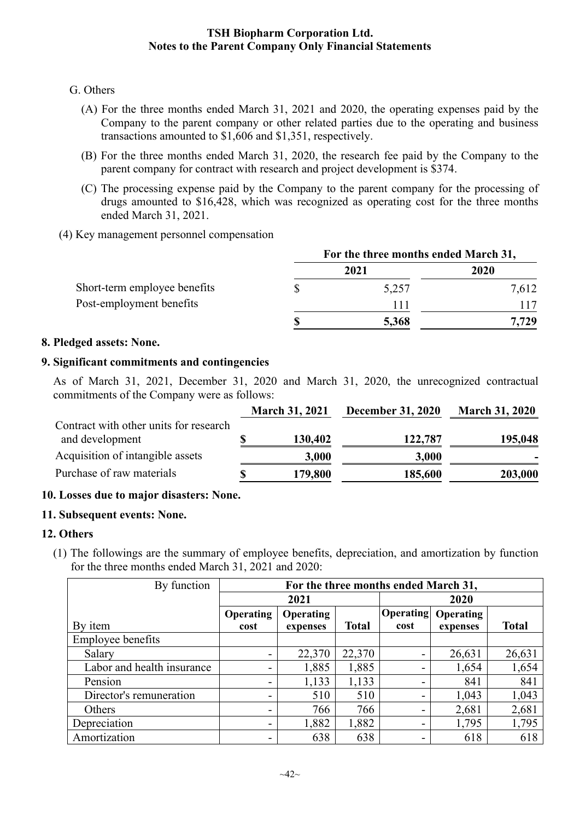## G. Others

- (A) For the three months ended March 31, 2021 and 2020, the operating expenses paid by the Company to the parent company or other related parties due to the operating and business transactions amounted to \$1,606 and \$1,351, respectively.
- (B) For the three months ended March 31, 2020, the research fee paid by the Company to the parent company for contract with research and project development is \$374.
- (C) The processing expense paid by the Company to the parent company for the processing of drugs amounted to \$16,428, which was recognized as operating cost for the three months ended March 31, 2021.
- (4) Key management personnel compensation

|                              | For the three months ended March 31, |       |       |  |
|------------------------------|--------------------------------------|-------|-------|--|
|                              | 2021                                 |       | 2020  |  |
| Short-term employee benefits |                                      | 5,257 | 7,612 |  |
| Post-employment benefits     |                                      |       |       |  |
|                              |                                      | 5,368 | 7,729 |  |

## **8. Pledged assets: None.**

# **9. Significant commitments and contingencies**

As of March 31, 2021, December 31, 2020 and March 31, 2020, the unrecognized contractual commitments of the Company were as follows:

|                                                           | <b>March 31, 2021</b> |         | <b>December 31, 2020</b> | <b>March 31, 2020</b> |  |
|-----------------------------------------------------------|-----------------------|---------|--------------------------|-----------------------|--|
| Contract with other units for research<br>and development |                       | 130,402 | 122,787                  | 195,048               |  |
| Acquisition of intangible assets                          |                       | 3,000   | 3,000                    |                       |  |
| Purchase of raw materials                                 |                       | 179,800 | 185,600                  | 203,000               |  |

# **10. Losses due to major disasters: None.**

# **11. Subsequent events: None.**

## **12. Others**

(1) The followings are the summary of employee benefits, depreciation, and amortization by function for the three months ended March 31, 2021 and 2020:

| By function                | For the three months ended March 31, |                  |              |                  |                  |              |
|----------------------------|--------------------------------------|------------------|--------------|------------------|------------------|--------------|
|                            |                                      | 2021             |              | 2020             |                  |              |
|                            | Operating                            | <b>Operating</b> |              | <b>Operating</b> | <b>Operating</b> |              |
| By item                    | cost                                 | expenses         | <b>Total</b> | cost             | expenses         | <b>Total</b> |
| Employee benefits          |                                      |                  |              |                  |                  |              |
| Salary                     |                                      | 22,370           | 22,370       |                  | 26,631           | 26,631       |
| Labor and health insurance |                                      | 1,885            | 1,885        | -                | 1,654            | 1,654        |
| Pension                    |                                      | 1,133            | 1,133        | -                | 841              | 841          |
| Director's remuneration    | $\overline{\phantom{0}}$             | 510              | 510          | -                | 1,043            | 1,043        |
| Others                     |                                      | 766              | 766          | -                | 2,681            | 2,681        |
| Depreciation               |                                      | 1,882            | 1,882        | -                | 1,795            | 1,795        |
| Amortization               |                                      | 638              | 638          | -                | 618              | 618          |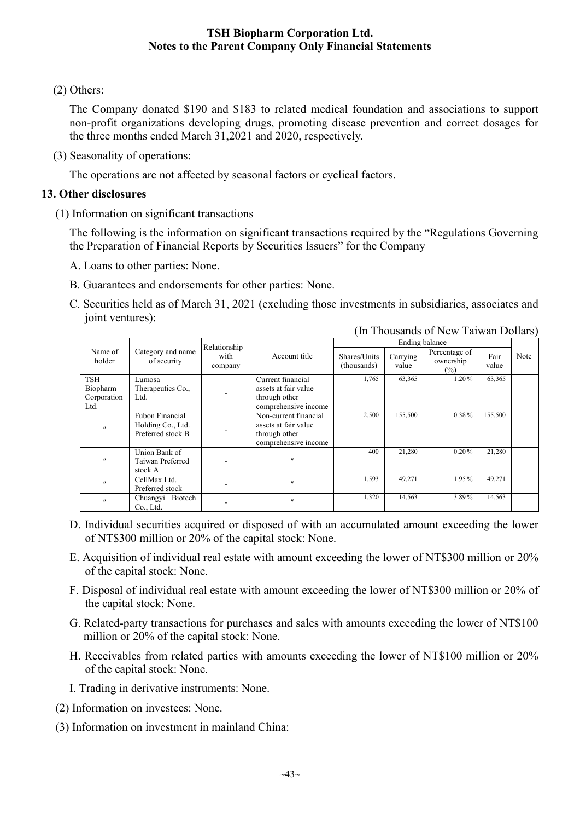## (2) Others:

The Company donated \$190 and \$183 to related medical foundation and associations to support non-profit organizations developing drugs, promoting disease prevention and correct dosages for the three months ended March 31,2021 and 2020, respectively.

(3) Seasonality of operations:

The operations are not affected by seasonal factors or cyclical factors.

#### **13. Other disclosures**

(1) Information on significant transactions

The following is the information on significant transactions required by the "Regulations Governing the Preparation of Financial Reports by Securities Issuers" for the Company

- A. Loans to other parties: None.
- B. Guarantees and endorsements for other parties: None.
- C. Securities held as of March 31, 2021 (excluding those investments in subsidiaries, associates and joint ventures):

| III THUUSUNUS UI I VUW TULWUH DUNUIS   |                                                           |                                 |                                                                                        |                             |                   |                                      |               |      |
|----------------------------------------|-----------------------------------------------------------|---------------------------------|----------------------------------------------------------------------------------------|-----------------------------|-------------------|--------------------------------------|---------------|------|
|                                        |                                                           |                                 | Ending balance                                                                         |                             |                   |                                      |               |      |
| Name of<br>holder                      | Category and name<br>of security                          | Relationship<br>with<br>company | Account title                                                                          | Shares/Units<br>(thousands) | Carrying<br>value | Percentage of<br>ownership<br>$(\%)$ | Fair<br>value | Note |
| TSH<br>Biopharm<br>Corporation<br>Ltd. | Lumosa<br>Therapeutics Co.,<br>Ltd.                       |                                 | Current financial<br>assets at fair value<br>through other<br>comprehensive income     | 1,765                       | 63,365            | 1.20%                                | 63,365        |      |
| $^{\prime\prime}$                      | Fubon Financial<br>Holding Co., Ltd.<br>Preferred stock B |                                 | Non-current financial<br>assets at fair value<br>through other<br>comprehensive income | 2,500                       | 155,500           | $0.38\%$                             | 155,500       |      |
| $^{\prime\prime}$                      | Union Bank of<br>Taiwan Preferred<br>stock A              |                                 | $^{\prime\prime}$                                                                      | 400                         | 21,280            | 0.20%                                | 21,280        |      |
| $^{\prime\prime}$                      | CellMax Ltd.<br>Preferred stock                           |                                 | $^{\prime\prime}$                                                                      | 1,593                       | 49,271            | 1.95%                                | 49,271        |      |
| $^{\prime\prime}$                      | Chuangyi Biotech<br>Co., Ltd.                             |                                 | $^{\prime\prime}$                                                                      | 1,320                       | 14,563            | 3.89%                                | 14,563        |      |

(In Thousands of New Taiwan Dollars)

- D. Individual securities acquired or disposed of with an accumulated amount exceeding the lower of NT\$300 million or 20% of the capital stock: None.
- E. Acquisition of individual real estate with amount exceeding the lower of NT\$300 million or 20% of the capital stock: None.
- F. Disposal of individual real estate with amount exceeding the lower of NT\$300 million or 20% of the capital stock: None.
- G. Related-party transactions for purchases and sales with amounts exceeding the lower of NT\$100 million or 20% of the capital stock: None.
- H. Receivables from related parties with amounts exceeding the lower of NT\$100 million or 20% of the capital stock: None.
- I. Trading in derivative instruments: None.
- (2) Information on investees: None.
- (3) Information on investment in mainland China: